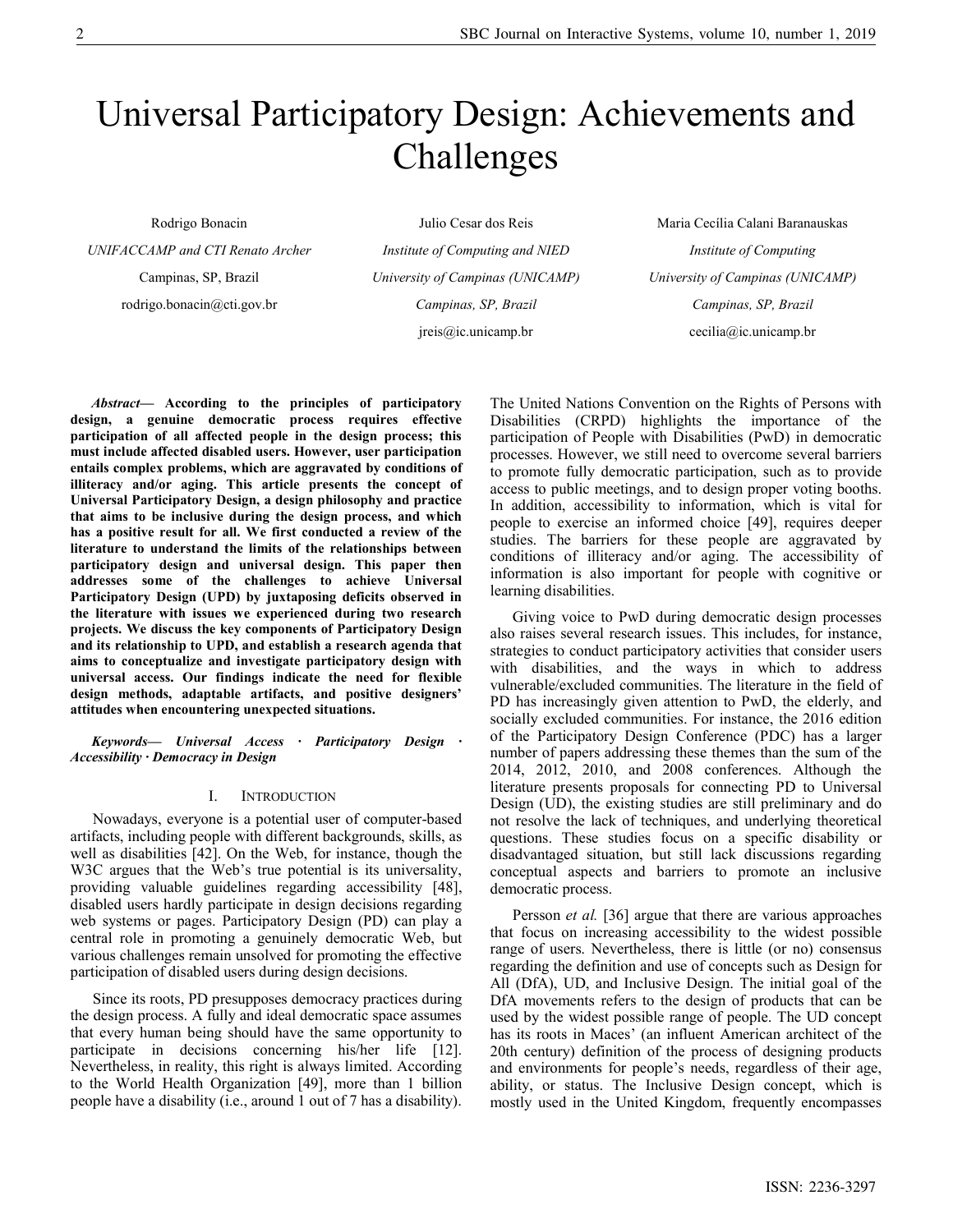# Universal Participatory Design: Achievements and Challenges

Rodrigo Bonacin

UNIFACCAMP and CTI Renato Archer

Campinas, SP, Brazil rodrigo.bonacin@cti.gov.br

Julio Cesar dos Reis Institute of Computing and NIED University of Campinas (UNICAMP) Campinas, SP, Brazil jreis@ic.unicamp.br

Maria Cecília Calani Baranauskas Institute of Computing University of Campinas (UNICAMP) Campinas, SP, Brazil cecilia@ic.unicamp.br

Abstract— According to the principles of participatory design, a genuine democratic process requires effective participation of all affected people in the design process; this must include affected disabled users. However, user participation entails complex problems, which are aggravated by conditions of illiteracy and/or aging. This article presents the concept of Universal Participatory Design, a design philosophy and practice that aims to be inclusive during the design process, and which has a positive result for all. We first conducted a review of the literature to understand the limits of the relationships between participatory design and universal design. This paper then addresses some of the challenges to achieve Universal Participatory Design (UPD) by juxtaposing deficits observed in the literature with issues we experienced during two research projects. We discuss the key components of Participatory Design and its relationship to UPD, and establish a research agenda that aims to conceptualize and investigate participatory design with universal access. Our findings indicate the need for flexible design methods, adaptable artifacts, and positive designers' attitudes when encountering unexpected situations.

Keywords— Universal Access · Participatory Design · Accessibility · Democracy in Design

#### I. INTRODUCTION

Nowadays, everyone is a potential user of computer-based artifacts, including people with different backgrounds, skills, as well as disabilities [42]. On the Web, for instance, though the W3C argues that the Web's true potential is its universality, providing valuable guidelines regarding accessibility [48], disabled users hardly participate in design decisions regarding web systems or pages. Participatory Design (PD) can play a central role in promoting a genuinely democratic Web, but various challenges remain unsolved for promoting the effective participation of disabled users during design decisions.

Since its roots, PD presupposes democracy practices during the design process. A fully and ideal democratic space assumes that every human being should have the same opportunity to participate in decisions concerning his/her life [12]. Nevertheless, in reality, this right is always limited. According to the World Health Organization [49], more than 1 billion people have a disability (i.e., around 1 out of 7 has a disability).

The United Nations Convention on the Rights of Persons with Disabilities (CRPD) highlights the importance of the participation of People with Disabilities (PwD) in democratic processes. However, we still need to overcome several barriers to promote fully democratic participation, such as to provide access to public meetings, and to design proper voting booths. In addition, accessibility to information, which is vital for people to exercise an informed choice [49], requires deeper studies. The barriers for these people are aggravated by conditions of illiteracy and/or aging. The accessibility of information is also important for people with cognitive or learning disabilities.

Giving voice to PwD during democratic design processes also raises several research issues. This includes, for instance, strategies to conduct participatory activities that consider users with disabilities, and the ways in which to address vulnerable/excluded communities. The literature in the field of PD has increasingly given attention to PwD, the elderly, and socially excluded communities. For instance, the 2016 edition of the Participatory Design Conference (PDC) has a larger number of papers addressing these themes than the sum of the 2014, 2012, 2010, and 2008 conferences. Although the literature presents proposals for connecting PD to Universal Design (UD), the existing studies are still preliminary and do not resolve the lack of techniques, and underlying theoretical questions. These studies focus on a specific disability or disadvantaged situation, but still lack discussions regarding conceptual aspects and barriers to promote an inclusive democratic process.

Persson et al. [36] argue that there are various approaches that focus on increasing accessibility to the widest possible range of users. Nevertheless, there is little (or no) consensus regarding the definition and use of concepts such as Design for All (DfA), UD, and Inclusive Design. The initial goal of the DfA movements refers to the design of products that can be used by the widest possible range of people. The UD concept has its roots in Maces' (an influent American architect of the 20th century) definition of the process of designing products and environments for people's needs, regardless of their age, ability, or status. The Inclusive Design concept, which is mostly used in the United Kingdom, frequently encompasses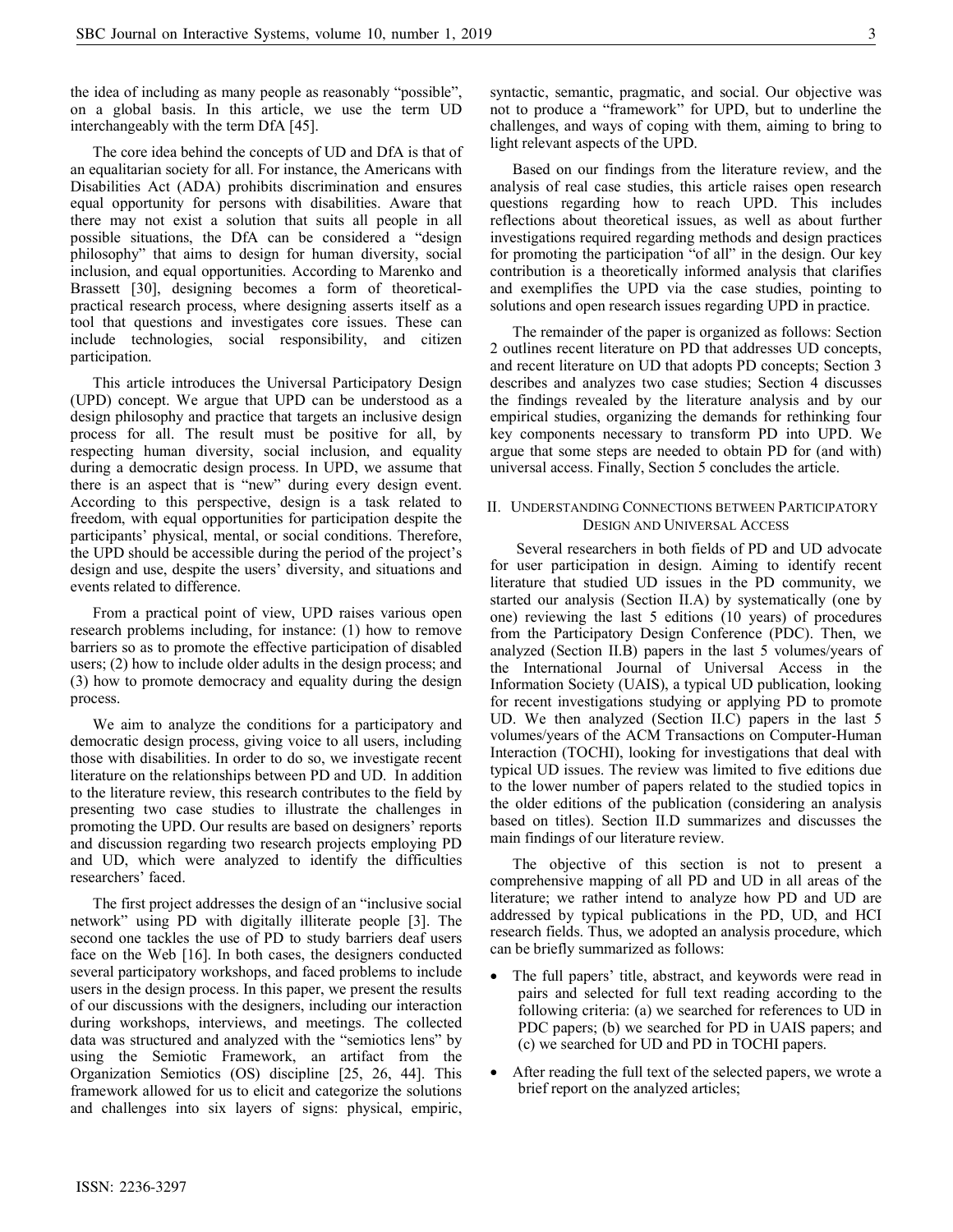the idea of including as many people as reasonably "possible", on a global basis. In this article, we use the term UD interchangeably with the term DfA [45].

The core idea behind the concepts of UD and DfA is that of an equalitarian society for all. For instance, the Americans with Disabilities Act (ADA) prohibits discrimination and ensures equal opportunity for persons with disabilities. Aware that there may not exist a solution that suits all people in all possible situations, the DfA can be considered a "design philosophy" that aims to design for human diversity, social inclusion, and equal opportunities. According to Marenko and Brassett [30], designing becomes a form of theoreticalpractical research process, where designing asserts itself as a tool that questions and investigates core issues. These can include technologies, social responsibility, and citizen participation.

This article introduces the Universal Participatory Design (UPD) concept. We argue that UPD can be understood as a design philosophy and practice that targets an inclusive design process for all. The result must be positive for all, by respecting human diversity, social inclusion, and equality during a democratic design process. In UPD, we assume that there is an aspect that is "new" during every design event. According to this perspective, design is a task related to freedom, with equal opportunities for participation despite the participants' physical, mental, or social conditions. Therefore, the UPD should be accessible during the period of the project's design and use, despite the users' diversity, and situations and events related to difference.

From a practical point of view, UPD raises various open research problems including, for instance: (1) how to remove barriers so as to promote the effective participation of disabled users; (2) how to include older adults in the design process; and (3) how to promote democracy and equality during the design process.

We aim to analyze the conditions for a participatory and democratic design process, giving voice to all users, including those with disabilities. In order to do so, we investigate recent literature on the relationships between PD and UD. In addition to the literature review, this research contributes to the field by presenting two case studies to illustrate the challenges in promoting the UPD. Our results are based on designers' reports and discussion regarding two research projects employing PD and UD, which were analyzed to identify the difficulties researchers' faced.

The first project addresses the design of an "inclusive social network" using PD with digitally illiterate people [3]. The second one tackles the use of PD to study barriers deaf users face on the Web [16]. In both cases, the designers conducted several participatory workshops, and faced problems to include users in the design process. In this paper, we present the results of our discussions with the designers, including our interaction during workshops, interviews, and meetings. The collected data was structured and analyzed with the "semiotics lens" by using the Semiotic Framework, an artifact from the Organization Semiotics (OS) discipline [25, 26, 44]. This framework allowed for us to elicit and categorize the solutions and challenges into six layers of signs: physical, empiric,

syntactic, semantic, pragmatic, and social. Our objective was not to produce a "framework" for UPD, but to underline the challenges, and ways of coping with them, aiming to bring to light relevant aspects of the UPD.

Based on our findings from the literature review, and the analysis of real case studies, this article raises open research questions regarding how to reach UPD. This includes reflections about theoretical issues, as well as about further investigations required regarding methods and design practices for promoting the participation "of all" in the design. Our key contribution is a theoretically informed analysis that clarifies and exemplifies the UPD via the case studies, pointing to solutions and open research issues regarding UPD in practice.

The remainder of the paper is organized as follows: Section 2 outlines recent literature on PD that addresses UD concepts, and recent literature on UD that adopts PD concepts; Section 3 describes and analyzes two case studies; Section 4 discusses the findings revealed by the literature analysis and by our empirical studies, organizing the demands for rethinking four key components necessary to transform PD into UPD. We argue that some steps are needed to obtain PD for (and with) universal access. Finally, Section 5 concludes the article.

# II. UNDERSTANDING CONNECTIONS BETWEEN PARTICIPATORY DESIGN AND UNIVERSAL ACCESS

 Several researchers in both fields of PD and UD advocate for user participation in design. Aiming to identify recent literature that studied UD issues in the PD community, we started our analysis (Section II.A) by systematically (one by one) reviewing the last 5 editions (10 years) of procedures from the Participatory Design Conference (PDC). Then, we analyzed (Section II.B) papers in the last 5 volumes/years of the International Journal of Universal Access in the Information Society (UAIS), a typical UD publication, looking for recent investigations studying or applying PD to promote UD. We then analyzed (Section II.C) papers in the last 5 volumes/years of the ACM Transactions on Computer-Human Interaction (TOCHI), looking for investigations that deal with typical UD issues. The review was limited to five editions due to the lower number of papers related to the studied topics in the older editions of the publication (considering an analysis based on titles). Section II.D summarizes and discusses the main findings of our literature review.

The objective of this section is not to present a comprehensive mapping of all PD and UD in all areas of the literature; we rather intend to analyze how PD and UD are addressed by typical publications in the PD, UD, and HCI research fields. Thus, we adopted an analysis procedure, which can be briefly summarized as follows:

- The full papers' title, abstract, and keywords were read in pairs and selected for full text reading according to the following criteria: (a) we searched for references to UD in PDC papers; (b) we searched for PD in UAIS papers; and (c) we searched for UD and PD in TOCHI papers.
- After reading the full text of the selected papers, we wrote a brief report on the analyzed articles;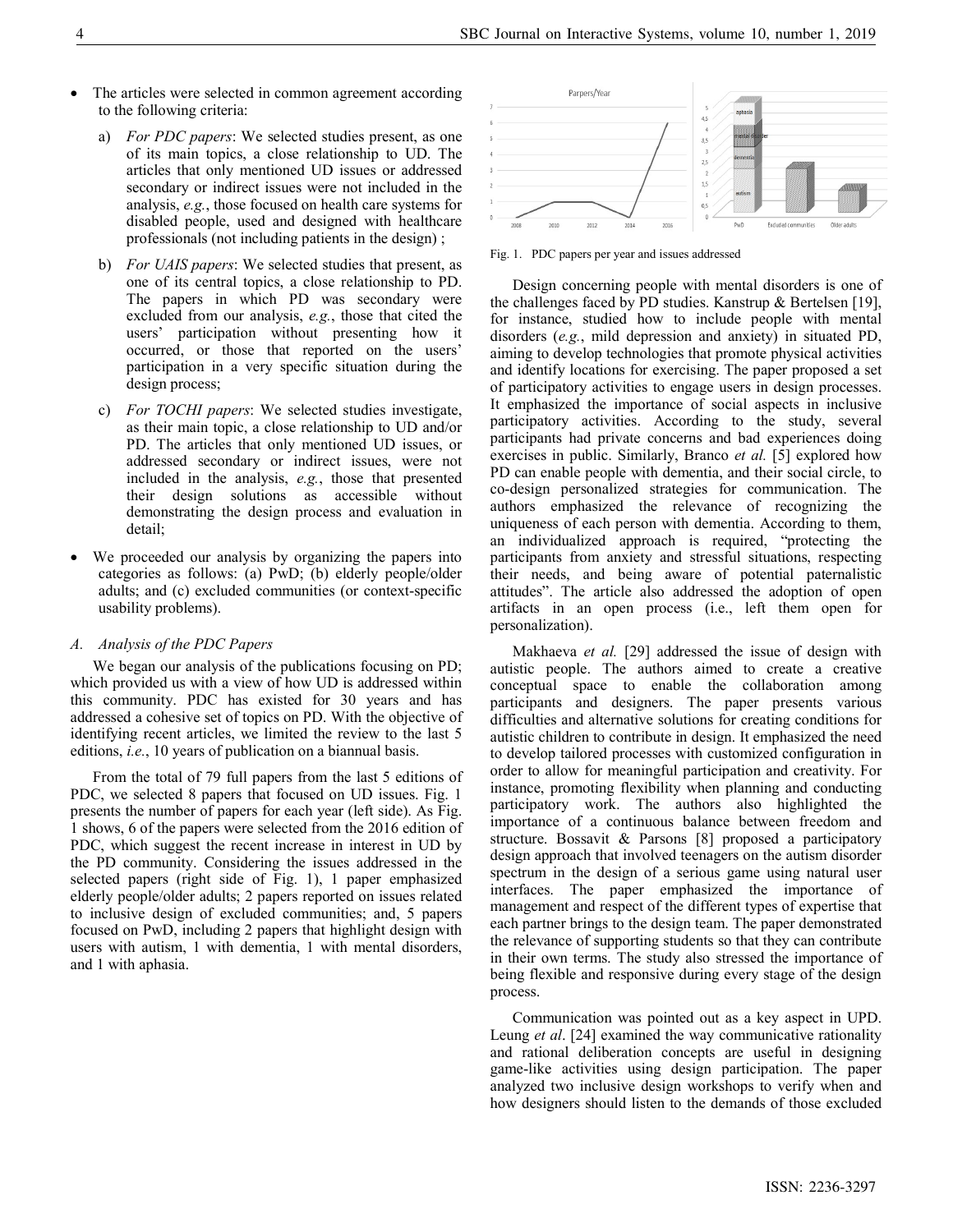- The articles were selected in common agreement according to the following criteria:
	- a) For PDC papers: We selected studies present, as one of its main topics, a close relationship to UD. The articles that only mentioned UD issues or addressed secondary or indirect issues were not included in the analysis, e.g., those focused on health care systems for disabled people, used and designed with healthcare professionals (not including patients in the design) ;
	- b) For UAIS papers: We selected studies that present, as one of its central topics, a close relationship to PD. The papers in which PD was secondary were excluded from our analysis, e.g., those that cited the users' participation without presenting how it occurred, or those that reported on the users' participation in a very specific situation during the design process;
	- c) For TOCHI papers: We selected studies investigate, as their main topic, a close relationship to UD and/or PD. The articles that only mentioned UD issues, or addressed secondary or indirect issues, were not included in the analysis, e.g., those that presented their design solutions as accessible without demonstrating the design process and evaluation in detail;
- We proceeded our analysis by organizing the papers into categories as follows: (a) PwD; (b) elderly people/older adults; and (c) excluded communities (or context-specific usability problems).

#### A. Analysis of the PDC Papers

We began our analysis of the publications focusing on PD; which provided us with a view of how UD is addressed within this community. PDC has existed for 30 years and has addressed a cohesive set of topics on PD. With the objective of identifying recent articles, we limited the review to the last 5 editions, i.e., 10 years of publication on a biannual basis.

From the total of 79 full papers from the last 5 editions of PDC, we selected 8 papers that focused on UD issues. Fig. 1 presents the number of papers for each year (left side). As Fig. 1 shows, 6 of the papers were selected from the 2016 edition of PDC, which suggest the recent increase in interest in UD by the PD community. Considering the issues addressed in the selected papers (right side of Fig. 1), 1 paper emphasized elderly people/older adults; 2 papers reported on issues related to inclusive design of excluded communities; and, 5 papers focused on PwD, including 2 papers that highlight design with users with autism, 1 with dementia, 1 with mental disorders, and 1 with aphasia.



Fig. 1. PDC papers per year and issues addressed

Design concerning people with mental disorders is one of the challenges faced by PD studies. Kanstrup & Bertelsen [19], for instance, studied how to include people with mental disorders (e.g., mild depression and anxiety) in situated PD, aiming to develop technologies that promote physical activities and identify locations for exercising. The paper proposed a set of participatory activities to engage users in design processes. It emphasized the importance of social aspects in inclusive participatory activities. According to the study, several participants had private concerns and bad experiences doing exercises in public. Similarly, Branco et al. [5] explored how PD can enable people with dementia, and their social circle, to co-design personalized strategies for communication. The authors emphasized the relevance of recognizing the uniqueness of each person with dementia. According to them, an individualized approach is required, "protecting the participants from anxiety and stressful situations, respecting their needs, and being aware of potential paternalistic attitudes". The article also addressed the adoption of open artifacts in an open process (i.e., left them open for personalization).

Makhaeva et al. [29] addressed the issue of design with autistic people. The authors aimed to create a creative conceptual space to enable the collaboration among participants and designers. The paper presents various difficulties and alternative solutions for creating conditions for autistic children to contribute in design. It emphasized the need to develop tailored processes with customized configuration in order to allow for meaningful participation and creativity. For instance, promoting flexibility when planning and conducting participatory work. The authors also highlighted the importance of a continuous balance between freedom and structure. Bossavit & Parsons [8] proposed a participatory design approach that involved teenagers on the autism disorder spectrum in the design of a serious game using natural user interfaces. The paper emphasized the importance of management and respect of the different types of expertise that each partner brings to the design team. The paper demonstrated the relevance of supporting students so that they can contribute in their own terms. The study also stressed the importance of being flexible and responsive during every stage of the design process.

Communication was pointed out as a key aspect in UPD. Leung et al. [24] examined the way communicative rationality and rational deliberation concepts are useful in designing game-like activities using design participation. The paper analyzed two inclusive design workshops to verify when and how designers should listen to the demands of those excluded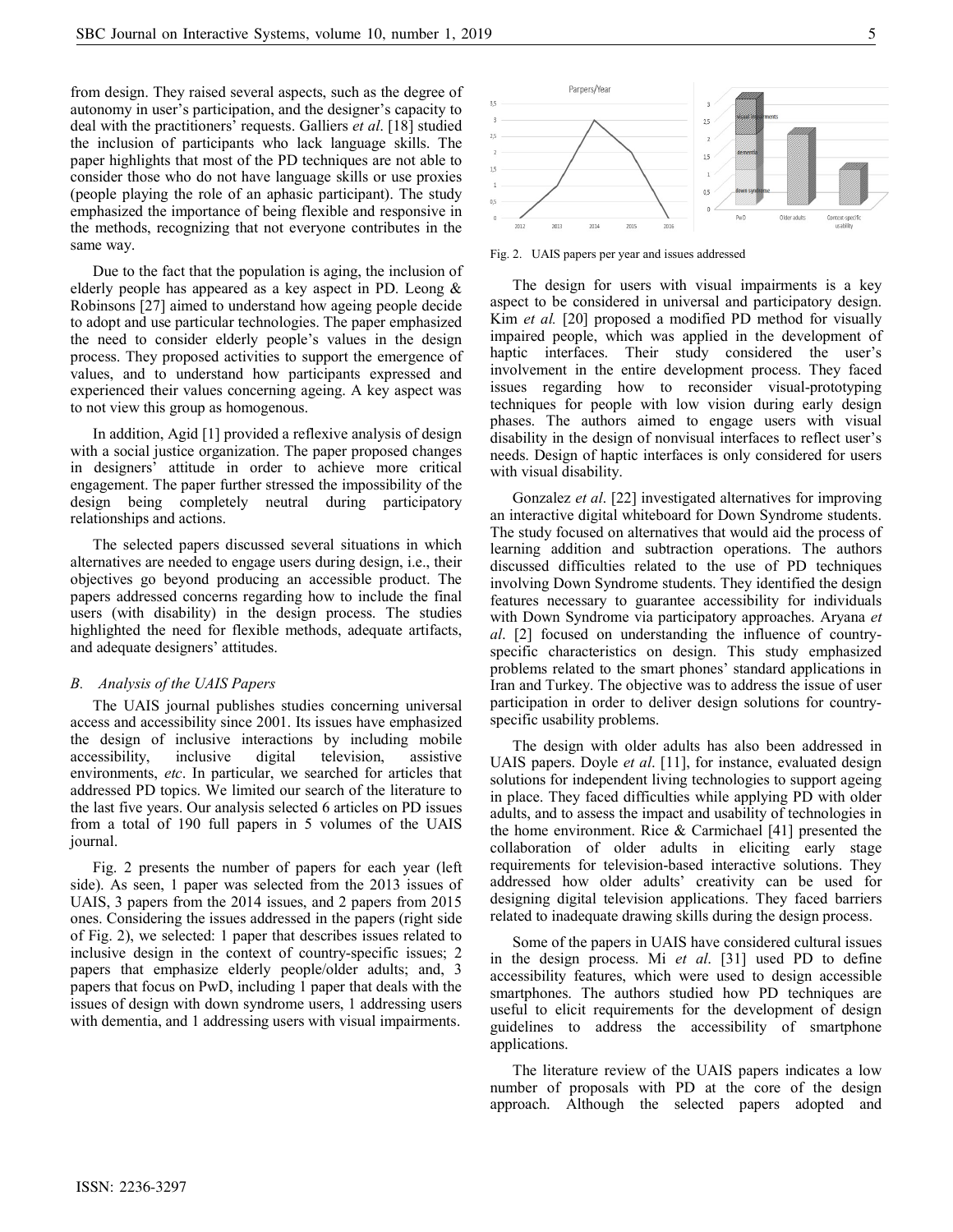from design. They raised several aspects, such as the degree of autonomy in user's participation, and the designer's capacity to deal with the practitioners' requests. Galliers et al. [18] studied the inclusion of participants who lack language skills. The paper highlights that most of the PD techniques are not able to consider those who do not have language skills or use proxies (people playing the role of an aphasic participant). The study emphasized the importance of being flexible and responsive in the methods, recognizing that not everyone contributes in the same way.

Due to the fact that the population is aging, the inclusion of elderly people has appeared as a key aspect in PD. Leong & Robinsons [27] aimed to understand how ageing people decide to adopt and use particular technologies. The paper emphasized the need to consider elderly people's values in the design process. They proposed activities to support the emergence of values, and to understand how participants expressed and experienced their values concerning ageing. A key aspect was to not view this group as homogenous.

In addition, Agid [1] provided a reflexive analysis of design with a social justice organization. The paper proposed changes in designers' attitude in order to achieve more critical engagement. The paper further stressed the impossibility of the design being completely neutral during participatory relationships and actions.

The selected papers discussed several situations in which alternatives are needed to engage users during design, i.e., their objectives go beyond producing an accessible product. The papers addressed concerns regarding how to include the final users (with disability) in the design process. The studies highlighted the need for flexible methods, adequate artifacts, and adequate designers' attitudes.

#### B. Analysis of the UAIS Papers

The UAIS journal publishes studies concerning universal access and accessibility since 2001. Its issues have emphasized the design of inclusive interactions by including mobile accessibility, inclusive digital television, assistive environments, etc. In particular, we searched for articles that addressed PD topics. We limited our search of the literature to the last five years. Our analysis selected 6 articles on PD issues from a total of 190 full papers in 5 volumes of the UAIS journal.

Fig. 2 presents the number of papers for each year (left side). As seen, 1 paper was selected from the 2013 issues of UAIS, 3 papers from the 2014 issues, and 2 papers from 2015 ones. Considering the issues addressed in the papers (right side of Fig. 2), we selected: 1 paper that describes issues related to inclusive design in the context of country-specific issues; 2 papers that emphasize elderly people/older adults; and, 3 papers that focus on PwD, including 1 paper that deals with the issues of design with down syndrome users, 1 addressing users with dementia, and 1 addressing users with visual impairments.



Fig. 2. UAIS papers per year and issues addressed

The design for users with visual impairments is a key aspect to be considered in universal and participatory design. Kim et al. [20] proposed a modified PD method for visually impaired people, which was applied in the development of haptic interfaces. Their study considered the user's involvement in the entire development process. They faced issues regarding how to reconsider visual-prototyping techniques for people with low vision during early design phases. The authors aimed to engage users with visual disability in the design of nonvisual interfaces to reflect user's needs. Design of haptic interfaces is only considered for users with visual disability.

Gonzalez et al. [22] investigated alternatives for improving an interactive digital whiteboard for Down Syndrome students. The study focused on alternatives that would aid the process of learning addition and subtraction operations. The authors discussed difficulties related to the use of PD techniques involving Down Syndrome students. They identified the design features necessary to guarantee accessibility for individuals with Down Syndrome via participatory approaches. Aryana et al. [2] focused on understanding the influence of countryspecific characteristics on design. This study emphasized problems related to the smart phones' standard applications in Iran and Turkey. The objective was to address the issue of user participation in order to deliver design solutions for countryspecific usability problems.

The design with older adults has also been addressed in UAIS papers. Doyle et al. [11], for instance, evaluated design solutions for independent living technologies to support ageing in place. They faced difficulties while applying PD with older adults, and to assess the impact and usability of technologies in the home environment. Rice & Carmichael [41] presented the collaboration of older adults in eliciting early stage requirements for television-based interactive solutions. They addressed how older adults' creativity can be used for designing digital television applications. They faced barriers related to inadequate drawing skills during the design process.

Some of the papers in UAIS have considered cultural issues in the design process. Mi et al. [31] used PD to define accessibility features, which were used to design accessible smartphones. The authors studied how PD techniques are useful to elicit requirements for the development of design guidelines to address the accessibility of smartphone applications.

The literature review of the UAIS papers indicates a low number of proposals with PD at the core of the design approach. Although the selected papers adopted and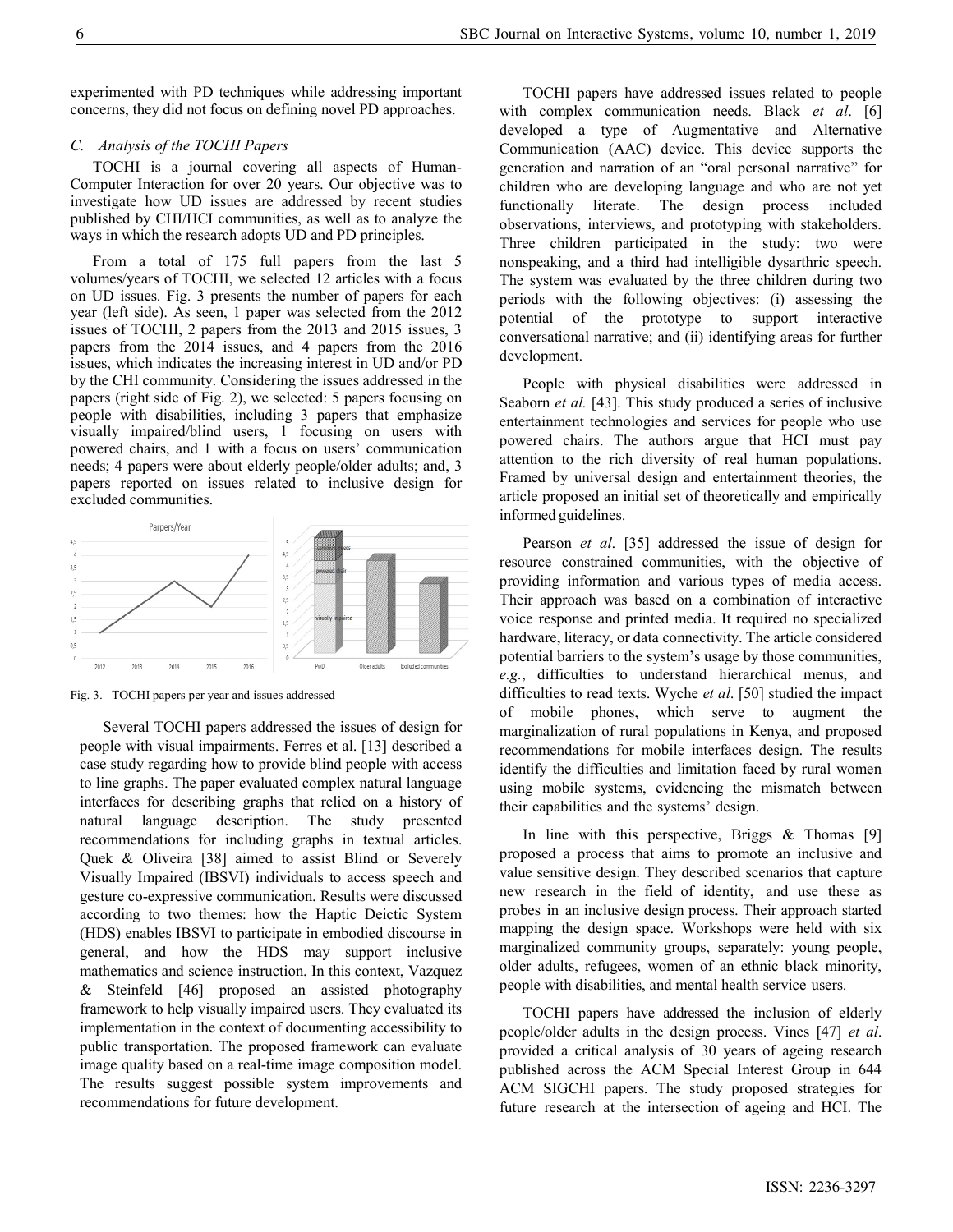experimented with PD techniques while addressing important concerns, they did not focus on defining novel PD approaches.

## C. Analysis of the TOCHI Papers

TOCHI is a journal covering all aspects of Human-Computer Interaction for over 20 years. Our objective was to investigate how UD issues are addressed by recent studies published by CHI/HCI communities, as well as to analyze the ways in which the research adopts UD and PD principles.

From a total of 175 full papers from the last 5 volumes/years of TOCHI, we selected 12 articles with a focus on UD issues. Fig. 3 presents the number of papers for each year (left side). As seen, 1 paper was selected from the 2012 issues of TOCHI, 2 papers from the 2013 and 2015 issues, 3 papers from the 2014 issues, and 4 papers from the 2016 issues, which indicates the increasing interest in UD and/or PD by the CHI community. Considering the issues addressed in the papers (right side of Fig. 2), we selected: 5 papers focusing on people with disabilities, including 3 papers that emphasize visually impaired/blind users, 1 focusing on users with powered chairs, and 1 with a focus on users' communication needs; 4 papers were about elderly people/older adults; and, 3 papers reported on issues related to inclusive design for excluded communities.



Fig. 3. TOCHI papers per year and issues addressed

Several TOCHI papers addressed the issues of design for people with visual impairments. Ferres et al. [13] described a case study regarding how to provide blind people with access to line graphs. The paper evaluated complex natural language interfaces for describing graphs that relied on a history of natural language description. The study presented recommendations for including graphs in textual articles. Quek & Oliveira [38] aimed to assist Blind or Severely Visually Impaired (IBSVI) individuals to access speech and gesture co-expressive communication. Results were discussed according to two themes: how the Haptic Deictic System (HDS) enables IBSVI to participate in embodied discourse in general, and how the HDS may support inclusive mathematics and science instruction. In this context, Vazquez & Steinfeld [46] proposed an assisted photography framework to help visually impaired users. They evaluated its implementation in the context of documenting accessibility to public transportation. The proposed framework can evaluate image quality based on a real-time image composition model. The results suggest possible system improvements and recommendations for future development.

TOCHI papers have addressed issues related to people with complex communication needs. Black et al. [6] developed a type of Augmentative and Alternative Communication (AAC) device. This device supports the generation and narration of an "oral personal narrative" for children who are developing language and who are not yet functionally literate. The design process included observations, interviews, and prototyping with stakeholders. Three children participated in the study: two were nonspeaking, and a third had intelligible dysarthric speech. The system was evaluated by the three children during two periods with the following objectives: (i) assessing the potential of the prototype to support interactive conversational narrative; and (ii) identifying areas for further development.

People with physical disabilities were addressed in Seaborn et al. [43]. This study produced a series of inclusive entertainment technologies and services for people who use powered chairs. The authors argue that HCI must pay attention to the rich diversity of real human populations. Framed by universal design and entertainment theories, the article proposed an initial set of theoretically and empirically informed guidelines.

Pearson et al. [35] addressed the issue of design for resource constrained communities, with the objective of providing information and various types of media access. Their approach was based on a combination of interactive voice response and printed media. It required no specialized hardware, literacy, or data connectivity. The article considered potential barriers to the system's usage by those communities, e.g., difficulties to understand hierarchical menus, and difficulties to read texts. Wyche et al. [50] studied the impact of mobile phones, which serve to augment the marginalization of rural populations in Kenya, and proposed recommendations for mobile interfaces design. The results identify the difficulties and limitation faced by rural women using mobile systems, evidencing the mismatch between their capabilities and the systems' design.

In line with this perspective, Briggs  $&$  Thomas [9] proposed a process that aims to promote an inclusive and value sensitive design. They described scenarios that capture new research in the field of identity, and use these as probes in an inclusive design process. Their approach started mapping the design space. Workshops were held with six marginalized community groups, separately: young people, older adults, refugees, women of an ethnic black minority, people with disabilities, and mental health service users.

TOCHI papers have addressed the inclusion of elderly people/older adults in the design process. Vines [47] et al. provided a critical analysis of 30 years of ageing research published across the ACM Special Interest Group in 644 ACM SIGCHI papers. The study proposed strategies for future research at the intersection of ageing and HCI. The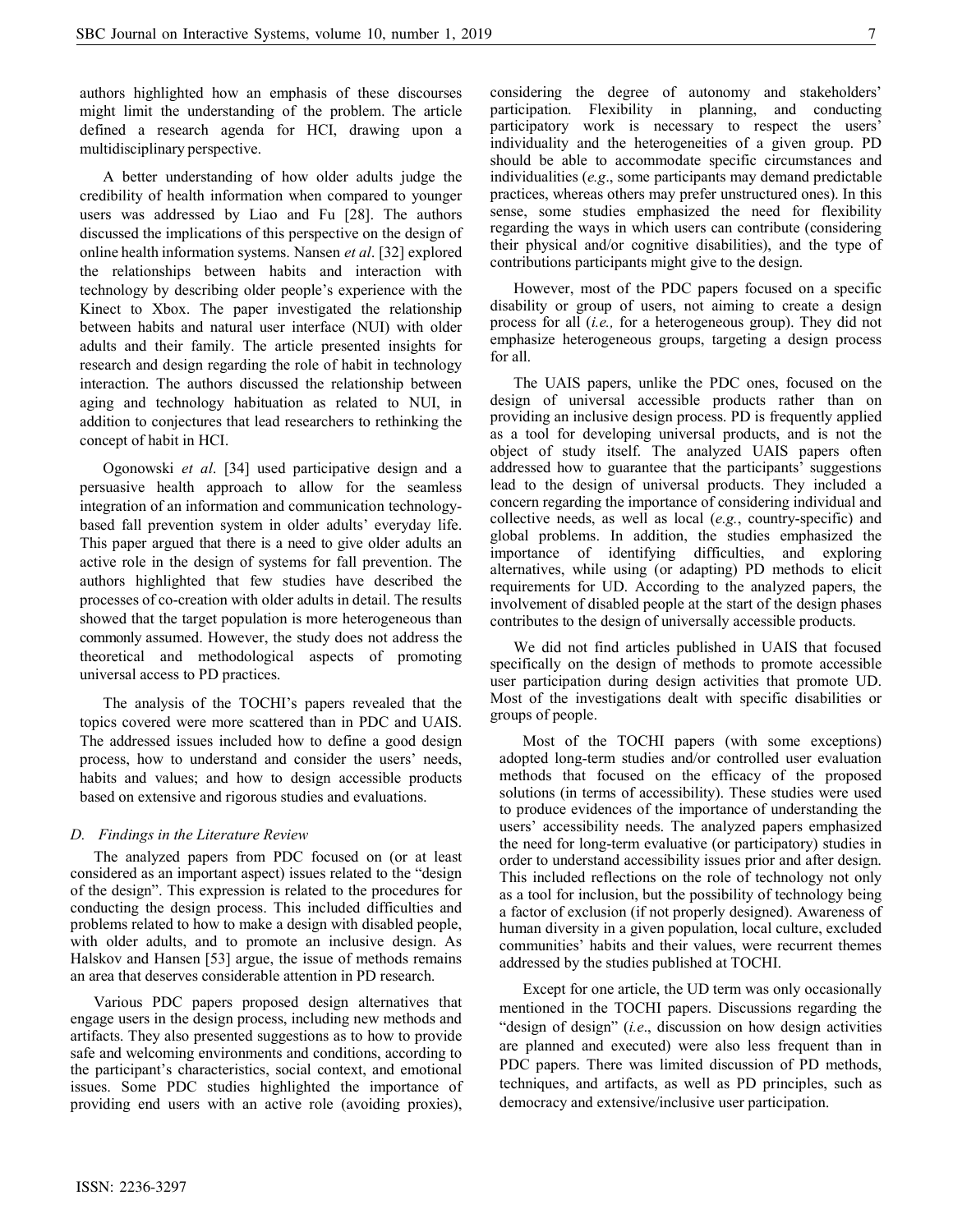authors highlighted how an emphasis of these discourses might limit the understanding of the problem. The article defined a research agenda for HCI, drawing upon a multidisciplinary perspective.

A better understanding of how older adults judge the credibility of health information when compared to younger users was addressed by Liao and Fu [28]. The authors discussed the implications of this perspective on the design of online health information systems. Nansen et al. [32] explored the relationships between habits and interaction with technology by describing older people's experience with the Kinect to Xbox. The paper investigated the relationship between habits and natural user interface (NUI) with older adults and their family. The article presented insights for research and design regarding the role of habit in technology interaction. The authors discussed the relationship between aging and technology habituation as related to NUI, in addition to conjectures that lead researchers to rethinking the concept of habit in HCI.

Ogonowski et al. [34] used participative design and a persuasive health approach to allow for the seamless integration of an information and communication technologybased fall prevention system in older adults' everyday life. This paper argued that there is a need to give older adults an active role in the design of systems for fall prevention. The authors highlighted that few studies have described the processes of co-creation with older adults in detail. The results showed that the target population is more heterogeneous than commonly assumed. However, the study does not address the theoretical and methodological aspects of promoting universal access to PD practices.

The analysis of the TOCHI's papers revealed that the topics covered were more scattered than in PDC and UAIS. The addressed issues included how to define a good design process, how to understand and consider the users' needs, habits and values; and how to design accessible products based on extensive and rigorous studies and evaluations.

## D. Findings in the Literature Review

The analyzed papers from PDC focused on (or at least considered as an important aspect) issues related to the "design of the design". This expression is related to the procedures for conducting the design process. This included difficulties and problems related to how to make a design with disabled people, with older adults, and to promote an inclusive design. As Halskov and Hansen [53] argue, the issue of methods remains an area that deserves considerable attention in PD research.

Various PDC papers proposed design alternatives that engage users in the design process, including new methods and artifacts. They also presented suggestions as to how to provide safe and welcoming environments and conditions, according to the participant's characteristics, social context, and emotional issues. Some PDC studies highlighted the importance of providing end users with an active role (avoiding proxies),

considering the degree of autonomy and stakeholders' participation. Flexibility in planning, and conducting participatory work is necessary to respect the users' individuality and the heterogeneities of a given group. PD should be able to accommodate specific circumstances and individualities (e.g., some participants may demand predictable practices, whereas others may prefer unstructured ones). In this sense, some studies emphasized the need for flexibility regarding the ways in which users can contribute (considering their physical and/or cognitive disabilities), and the type of contributions participants might give to the design.

However, most of the PDC papers focused on a specific disability or group of users, not aiming to create a design process for all (i.e., for a heterogeneous group). They did not emphasize heterogeneous groups, targeting a design process for all.

The UAIS papers, unlike the PDC ones, focused on the design of universal accessible products rather than on providing an inclusive design process. PD is frequently applied as a tool for developing universal products, and is not the object of study itself. The analyzed UAIS papers often addressed how to guarantee that the participants' suggestions lead to the design of universal products. They included a concern regarding the importance of considering individual and collective needs, as well as local (e.g., country-specific) and global problems. In addition, the studies emphasized the importance of identifying difficulties, and exploring alternatives, while using (or adapting) PD methods to elicit requirements for UD. According to the analyzed papers, the involvement of disabled people at the start of the design phases contributes to the design of universally accessible products.

We did not find articles published in UAIS that focused specifically on the design of methods to promote accessible user participation during design activities that promote UD. Most of the investigations dealt with specific disabilities or groups of people.

Most of the TOCHI papers (with some exceptions) adopted long-term studies and/or controlled user evaluation methods that focused on the efficacy of the proposed solutions (in terms of accessibility). These studies were used to produce evidences of the importance of understanding the users' accessibility needs. The analyzed papers emphasized the need for long-term evaluative (or participatory) studies in order to understand accessibility issues prior and after design. This included reflections on the role of technology not only as a tool for inclusion, but the possibility of technology being a factor of exclusion (if not properly designed). Awareness of human diversity in a given population, local culture, excluded communities' habits and their values, were recurrent themes addressed by the studies published at TOCHI.

Except for one article, the UD term was only occasionally mentioned in the TOCHI papers. Discussions regarding the "design of design" (i.e., discussion on how design activities are planned and executed) were also less frequent than in PDC papers. There was limited discussion of PD methods, techniques, and artifacts, as well as PD principles, such as democracy and extensive/inclusive user participation.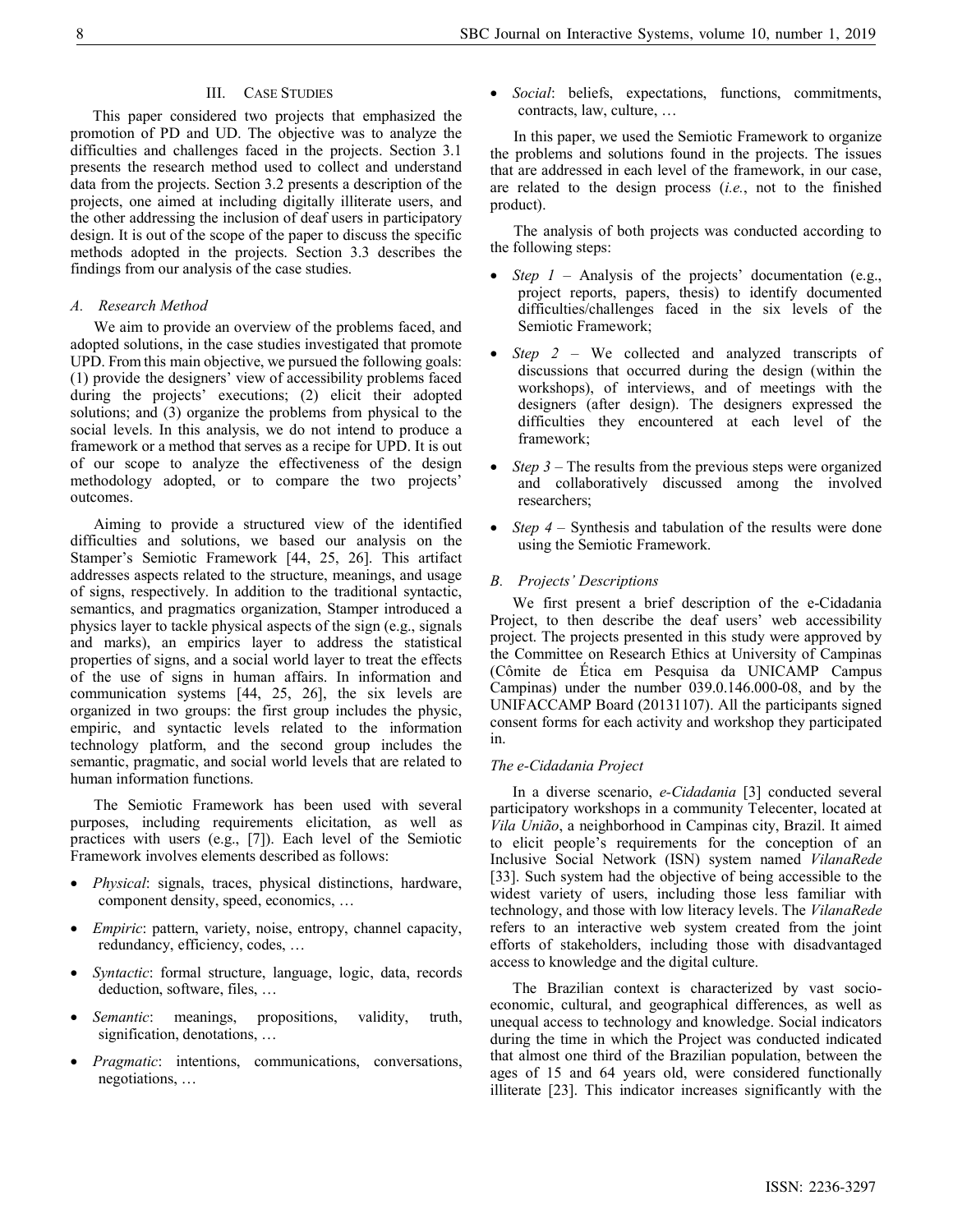# III. CASE STUDIES

This paper considered two projects that emphasized the promotion of PD and UD. The objective was to analyze the difficulties and challenges faced in the projects. Section 3.1 presents the research method used to collect and understand data from the projects. Section 3.2 presents a description of the projects, one aimed at including digitally illiterate users, and the other addressing the inclusion of deaf users in participatory design. It is out of the scope of the paper to discuss the specific methods adopted in the projects. Section 3.3 describes the findings from our analysis of the case studies.

## A. Research Method

We aim to provide an overview of the problems faced, and adopted solutions, in the case studies investigated that promote UPD. From this main objective, we pursued the following goals: (1) provide the designers' view of accessibility problems faced during the projects' executions; (2) elicit their adopted solutions; and (3) organize the problems from physical to the social levels. In this analysis, we do not intend to produce a framework or a method that serves as a recipe for UPD. It is out of our scope to analyze the effectiveness of the design methodology adopted, or to compare the two projects' outcomes.

Aiming to provide a structured view of the identified difficulties and solutions, we based our analysis on the Stamper's Semiotic Framework [44, 25, 26]. This artifact addresses aspects related to the structure, meanings, and usage of signs, respectively. In addition to the traditional syntactic, semantics, and pragmatics organization, Stamper introduced a physics layer to tackle physical aspects of the sign (e.g., signals and marks), an empirics layer to address the statistical properties of signs, and a social world layer to treat the effects of the use of signs in human affairs. In information and communication systems [44, 25, 26], the six levels are organized in two groups: the first group includes the physic, empiric, and syntactic levels related to the information technology platform, and the second group includes the semantic, pragmatic, and social world levels that are related to human information functions.

The Semiotic Framework has been used with several purposes, including requirements elicitation, as well as practices with users (e.g., [7]). Each level of the Semiotic Framework involves elements described as follows:

- Physical: signals, traces, physical distinctions, hardware, component density, speed, economics, …
- Empiric: pattern, variety, noise, entropy, channel capacity, redundancy, efficiency, codes, …
- Syntactic: formal structure, language, logic, data, records deduction, software, files, …
- *Semantic*: meanings, propositions, validity, truth, signification, denotations, …
- *Pragmatic*: intentions, communications, conversations, negotiations, …

Social: beliefs, expectations, functions, commitments, contracts, law, culture, …

In this paper, we used the Semiotic Framework to organize the problems and solutions found in the projects. The issues that are addressed in each level of the framework, in our case, are related to the design process (i.e., not to the finished product).

The analysis of both projects was conducted according to the following steps:

- Step  $1$  Analysis of the projects' documentation (e.g., project reports, papers, thesis) to identify documented difficulties/challenges faced in the six levels of the Semiotic Framework;
- Step 2 We collected and analyzed transcripts of discussions that occurred during the design (within the workshops), of interviews, and of meetings with the designers (after design). The designers expressed the difficulties they encountered at each level of the framework;
- Step 3 The results from the previous steps were organized and collaboratively discussed among the involved researchers;
- Step 4 Synthesis and tabulation of the results were done using the Semiotic Framework.

#### B. Projects' Descriptions

We first present a brief description of the e-Cidadania Project, to then describe the deaf users' web accessibility project. The projects presented in this study were approved by the Committee on Research Ethics at University of Campinas (Cômite de Ética em Pesquisa da UNICAMP Campus Campinas) under the number 039.0.146.000-08, and by the UNIFACCAMP Board (20131107). All the participants signed consent forms for each activity and workshop they participated in.

#### The e-Cidadania Project

In a diverse scenario, e-Cidadania [3] conducted several participatory workshops in a community Telecenter, located at Vila União, a neighborhood in Campinas city, Brazil. It aimed to elicit people's requirements for the conception of an Inclusive Social Network (ISN) system named VilanaRede [33]. Such system had the objective of being accessible to the widest variety of users, including those less familiar with technology, and those with low literacy levels. The VilanaRede refers to an interactive web system created from the joint efforts of stakeholders, including those with disadvantaged access to knowledge and the digital culture.

The Brazilian context is characterized by vast socioeconomic, cultural, and geographical differences, as well as unequal access to technology and knowledge. Social indicators during the time in which the Project was conducted indicated that almost one third of the Brazilian population, between the ages of 15 and 64 years old, were considered functionally illiterate [23]. This indicator increases significantly with the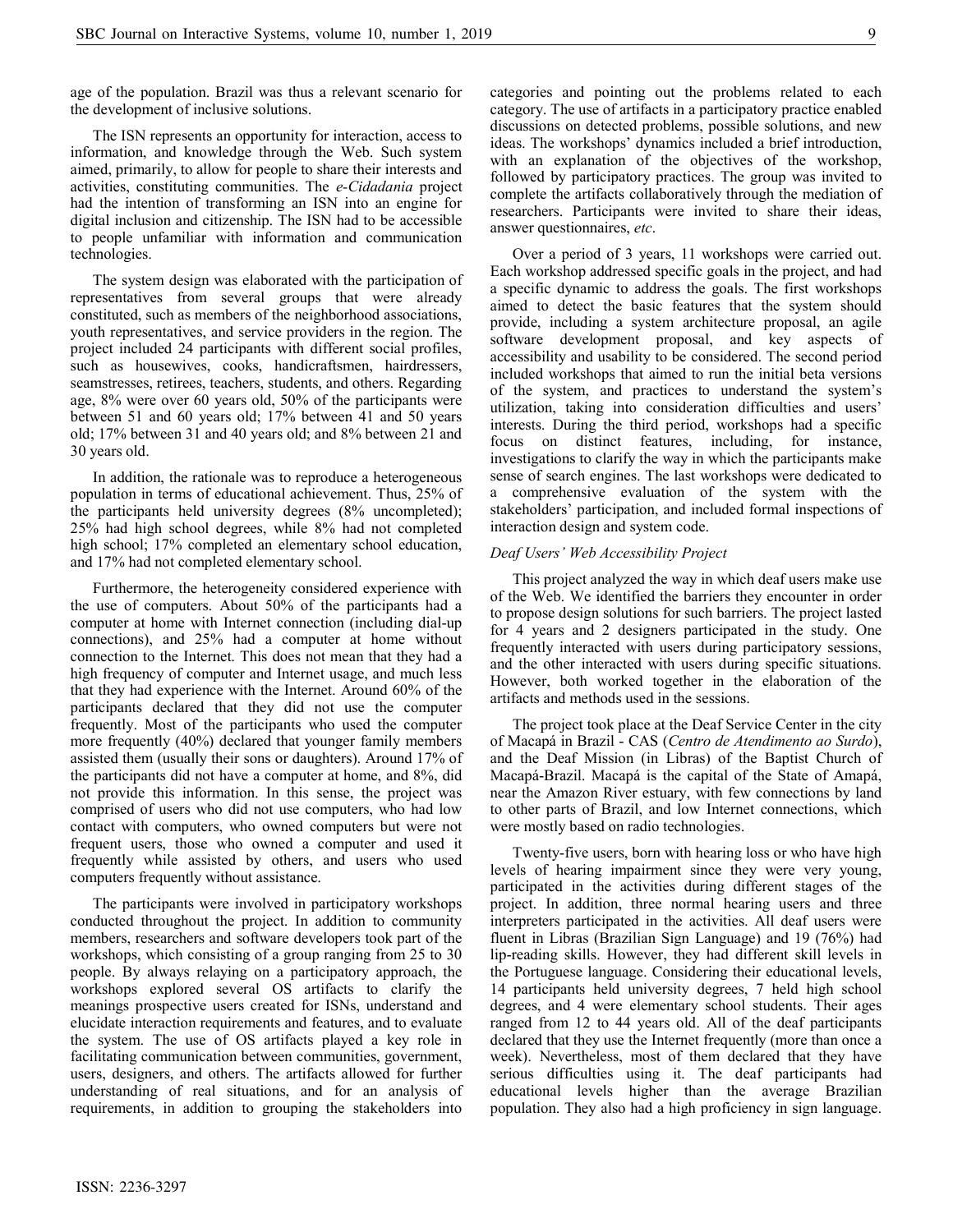age of the population. Brazil was thus a relevant scenario for the development of inclusive solutions.

The ISN represents an opportunity for interaction, access to information, and knowledge through the Web. Such system aimed, primarily, to allow for people to share their interests and activities, constituting communities. The e-Cidadania project had the intention of transforming an ISN into an engine for digital inclusion and citizenship. The ISN had to be accessible to people unfamiliar with information and communication technologies.

The system design was elaborated with the participation of representatives from several groups that were already constituted, such as members of the neighborhood associations, youth representatives, and service providers in the region. The project included 24 participants with different social profiles, such as housewives, cooks, handicraftsmen, hairdressers, seamstresses, retirees, teachers, students, and others. Regarding age, 8% were over 60 years old, 50% of the participants were between 51 and 60 years old; 17% between 41 and 50 years old; 17% between 31 and 40 years old; and 8% between 21 and 30 years old.

In addition, the rationale was to reproduce a heterogeneous population in terms of educational achievement. Thus, 25% of the participants held university degrees (8% uncompleted); 25% had high school degrees, while 8% had not completed high school; 17% completed an elementary school education, and 17% had not completed elementary school.

Furthermore, the heterogeneity considered experience with the use of computers. About 50% of the participants had a computer at home with Internet connection (including dial-up connections), and 25% had a computer at home without connection to the Internet. This does not mean that they had a high frequency of computer and Internet usage, and much less that they had experience with the Internet. Around 60% of the participants declared that they did not use the computer frequently. Most of the participants who used the computer more frequently (40%) declared that younger family members assisted them (usually their sons or daughters). Around 17% of the participants did not have a computer at home, and 8%, did not provide this information. In this sense, the project was comprised of users who did not use computers, who had low contact with computers, who owned computers but were not frequent users, those who owned a computer and used it frequently while assisted by others, and users who used computers frequently without assistance.

The participants were involved in participatory workshops conducted throughout the project. In addition to community members, researchers and software developers took part of the workshops, which consisting of a group ranging from 25 to 30 people. By always relaying on a participatory approach, the workshops explored several OS artifacts to clarify the meanings prospective users created for ISNs, understand and elucidate interaction requirements and features, and to evaluate the system. The use of OS artifacts played a key role in facilitating communication between communities, government, users, designers, and others. The artifacts allowed for further understanding of real situations, and for an analysis of requirements, in addition to grouping the stakeholders into

categories and pointing out the problems related to each category. The use of artifacts in a participatory practice enabled discussions on detected problems, possible solutions, and new ideas. The workshops' dynamics included a brief introduction, with an explanation of the objectives of the workshop, followed by participatory practices. The group was invited to complete the artifacts collaboratively through the mediation of researchers. Participants were invited to share their ideas, answer questionnaires, etc.

Over a period of 3 years, 11 workshops were carried out. Each workshop addressed specific goals in the project, and had a specific dynamic to address the goals. The first workshops aimed to detect the basic features that the system should provide, including a system architecture proposal, an agile software development proposal, and key aspects of accessibility and usability to be considered. The second period included workshops that aimed to run the initial beta versions of the system, and practices to understand the system's utilization, taking into consideration difficulties and users' interests. During the third period, workshops had a specific focus on distinct features, including, for instance, investigations to clarify the way in which the participants make sense of search engines. The last workshops were dedicated to a comprehensive evaluation of the system with the stakeholders' participation, and included formal inspections of interaction design and system code.

#### Deaf Users' Web Accessibility Project

This project analyzed the way in which deaf users make use of the Web. We identified the barriers they encounter in order to propose design solutions for such barriers. The project lasted for 4 years and 2 designers participated in the study. One frequently interacted with users during participatory sessions, and the other interacted with users during specific situations. However, both worked together in the elaboration of the artifacts and methods used in the sessions.

The project took place at the Deaf Service Center in the city of Macapá in Brazil - CAS (Centro de Atendimento ao Surdo), and the Deaf Mission (in Libras) of the Baptist Church of Macapá-Brazil. Macapá is the capital of the State of Amapá, near the Amazon River estuary, with few connections by land to other parts of Brazil, and low Internet connections, which were mostly based on radio technologies.

Twenty-five users, born with hearing loss or who have high levels of hearing impairment since they were very young, participated in the activities during different stages of the project. In addition, three normal hearing users and three interpreters participated in the activities. All deaf users were fluent in Libras (Brazilian Sign Language) and 19 (76%) had lip-reading skills. However, they had different skill levels in the Portuguese language. Considering their educational levels, 14 participants held university degrees, 7 held high school degrees, and 4 were elementary school students. Their ages ranged from 12 to 44 years old. All of the deaf participants declared that they use the Internet frequently (more than once a week). Nevertheless, most of them declared that they have serious difficulties using it. The deaf participants had educational levels higher than the average Brazilian population. They also had a high proficiency in sign language.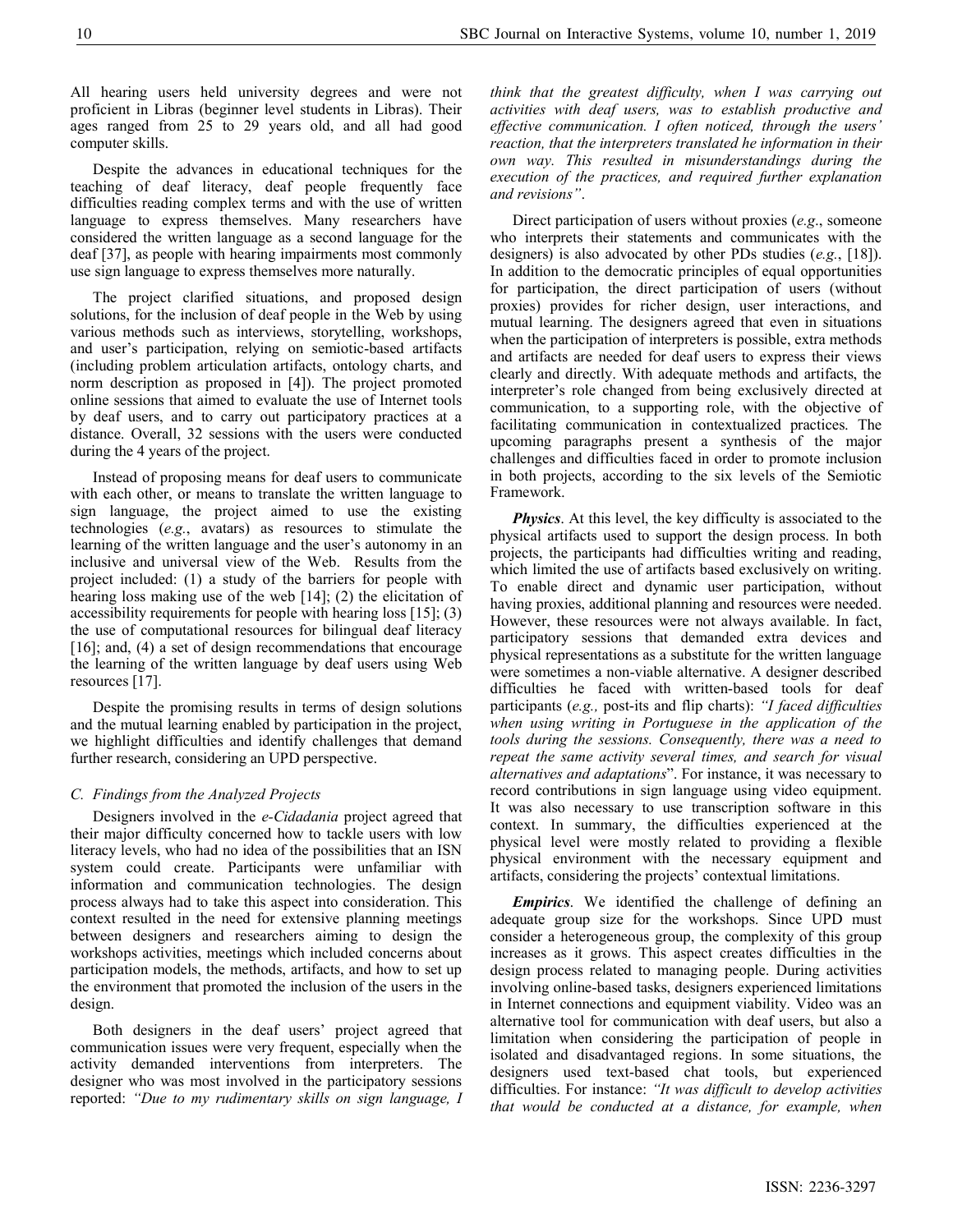All hearing users held university degrees and were not proficient in Libras (beginner level students in Libras). Their ages ranged from 25 to 29 years old, and all had good computer skills.

Despite the advances in educational techniques for the teaching of deaf literacy, deaf people frequently face difficulties reading complex terms and with the use of written language to express themselves. Many researchers have considered the written language as a second language for the deaf [37], as people with hearing impairments most commonly use sign language to express themselves more naturally.

The project clarified situations, and proposed design solutions, for the inclusion of deaf people in the Web by using various methods such as interviews, storytelling, workshops, and user's participation, relying on semiotic-based artifacts (including problem articulation artifacts, ontology charts, and norm description as proposed in [4]). The project promoted online sessions that aimed to evaluate the use of Internet tools by deaf users, and to carry out participatory practices at a distance. Overall, 32 sessions with the users were conducted during the 4 years of the project.

Instead of proposing means for deaf users to communicate with each other, or means to translate the written language to sign language, the project aimed to use the existing technologies (e.g., avatars) as resources to stimulate the learning of the written language and the user's autonomy in an inclusive and universal view of the Web. Results from the project included: (1) a study of the barriers for people with hearing loss making use of the web [14]; (2) the elicitation of accessibility requirements for people with hearing loss [15]; (3) the use of computational resources for bilingual deaf literacy [16]; and, (4) a set of design recommendations that encourage the learning of the written language by deaf users using Web resources [17].

Despite the promising results in terms of design solutions and the mutual learning enabled by participation in the project, we highlight difficulties and identify challenges that demand further research, considering an UPD perspective.

# C. Findings from the Analyzed Projects

Designers involved in the *e-Cidadania* project agreed that their major difficulty concerned how to tackle users with low literacy levels, who had no idea of the possibilities that an ISN system could create. Participants were unfamiliar with information and communication technologies. The design process always had to take this aspect into consideration. This context resulted in the need for extensive planning meetings between designers and researchers aiming to design the workshops activities, meetings which included concerns about participation models, the methods, artifacts, and how to set up the environment that promoted the inclusion of the users in the design.

Both designers in the deaf users' project agreed that communication issues were very frequent, especially when the activity demanded interventions from interpreters. The designer who was most involved in the participatory sessions reported: "Due to my rudimentary skills on sign language, I think that the greatest difficulty, when I was carrying out activities with deaf users, was to establish productive and effective communication. I often noticed, through the users' reaction, that the interpreters translated he information in their own way. This resulted in misunderstandings during the execution of the practices, and required further explanation and revisions".

Direct participation of users without proxies (e.g., someone who interprets their statements and communicates with the designers) is also advocated by other PDs studies (e.g., [18]). In addition to the democratic principles of equal opportunities for participation, the direct participation of users (without proxies) provides for richer design, user interactions, and mutual learning. The designers agreed that even in situations when the participation of interpreters is possible, extra methods and artifacts are needed for deaf users to express their views clearly and directly. With adequate methods and artifacts, the interpreter's role changed from being exclusively directed at communication, to a supporting role, with the objective of facilitating communication in contextualized practices. The upcoming paragraphs present a synthesis of the major challenges and difficulties faced in order to promote inclusion in both projects, according to the six levels of the Semiotic Framework.

**Physics**. At this level, the key difficulty is associated to the physical artifacts used to support the design process. In both projects, the participants had difficulties writing and reading, which limited the use of artifacts based exclusively on writing. To enable direct and dynamic user participation, without having proxies, additional planning and resources were needed. However, these resources were not always available. In fact, participatory sessions that demanded extra devices and physical representations as a substitute for the written language were sometimes a non-viable alternative. A designer described difficulties he faced with written-based tools for deaf participants (e.g., post-its and flip charts): "I faced difficulties when using writing in Portuguese in the application of the tools during the sessions. Consequently, there was a need to repeat the same activity several times, and search for visual alternatives and adaptations". For instance, it was necessary to record contributions in sign language using video equipment. It was also necessary to use transcription software in this context. In summary, the difficulties experienced at the physical level were mostly related to providing a flexible physical environment with the necessary equipment and artifacts, considering the projects' contextual limitations.

**Empirics.** We identified the challenge of defining an adequate group size for the workshops. Since UPD must consider a heterogeneous group, the complexity of this group increases as it grows. This aspect creates difficulties in the design process related to managing people. During activities involving online-based tasks, designers experienced limitations in Internet connections and equipment viability. Video was an alternative tool for communication with deaf users, but also a limitation when considering the participation of people in isolated and disadvantaged regions. In some situations, the designers used text-based chat tools, but experienced difficulties. For instance: "It was difficult to develop activities that would be conducted at a distance, for example, when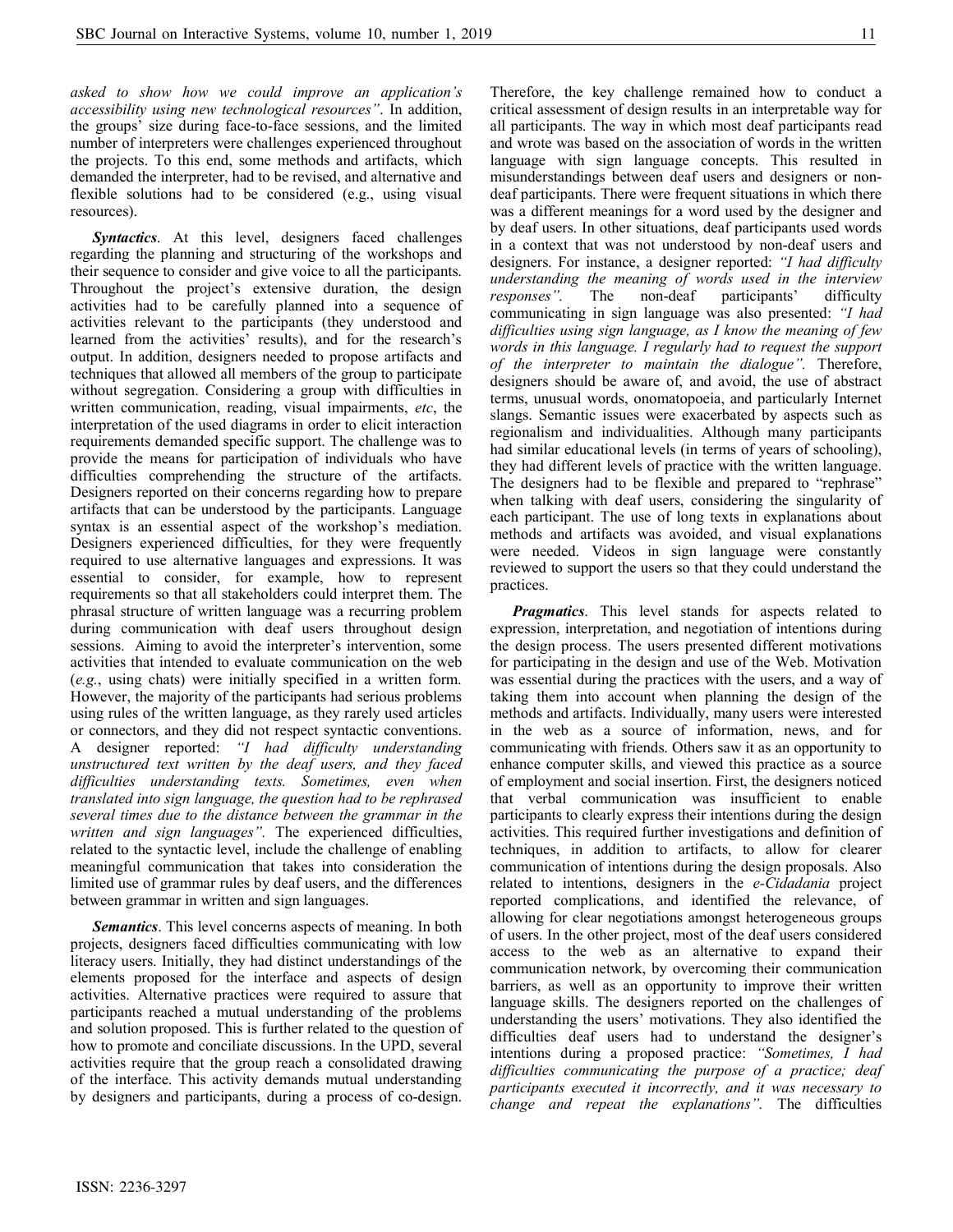asked to show how we could improve an application's accessibility using new technological resources". In addition, the groups' size during face-to-face sessions, and the limited number of interpreters were challenges experienced throughout the projects. To this end, some methods and artifacts, which demanded the interpreter, had to be revised, and alternative and flexible solutions had to be considered (e.g., using visual resources).

Syntactics. At this level, designers faced challenges regarding the planning and structuring of the workshops and their sequence to consider and give voice to all the participants. Throughout the project's extensive duration, the design activities had to be carefully planned into a sequence of activities relevant to the participants (they understood and learned from the activities' results), and for the research's output. In addition, designers needed to propose artifacts and techniques that allowed all members of the group to participate without segregation. Considering a group with difficulties in written communication, reading, visual impairments, etc, the interpretation of the used diagrams in order to elicit interaction requirements demanded specific support. The challenge was to provide the means for participation of individuals who have difficulties comprehending the structure of the artifacts. Designers reported on their concerns regarding how to prepare artifacts that can be understood by the participants. Language syntax is an essential aspect of the workshop's mediation. Designers experienced difficulties, for they were frequently required to use alternative languages and expressions. It was essential to consider, for example, how to represent requirements so that all stakeholders could interpret them. The phrasal structure of written language was a recurring problem during communication with deaf users throughout design sessions. Aiming to avoid the interpreter's intervention, some activities that intended to evaluate communication on the web (e.g., using chats) were initially specified in a written form. However, the majority of the participants had serious problems using rules of the written language, as they rarely used articles or connectors, and they did not respect syntactic conventions. A designer reported: "I had difficulty understanding unstructured text written by the deaf users, and they faced difficulties understanding texts. Sometimes, even when translated into sign language, the question had to be rephrased several times due to the distance between the grammar in the written and sign languages". The experienced difficulties, related to the syntactic level, include the challenge of enabling meaningful communication that takes into consideration the limited use of grammar rules by deaf users, and the differences between grammar in written and sign languages.

Semantics. This level concerns aspects of meaning. In both projects, designers faced difficulties communicating with low literacy users. Initially, they had distinct understandings of the elements proposed for the interface and aspects of design activities. Alternative practices were required to assure that participants reached a mutual understanding of the problems and solution proposed. This is further related to the question of how to promote and conciliate discussions. In the UPD, several activities require that the group reach a consolidated drawing of the interface. This activity demands mutual understanding by designers and participants, during a process of co-design.

Therefore, the key challenge remained how to conduct a critical assessment of design results in an interpretable way for all participants. The way in which most deaf participants read and wrote was based on the association of words in the written language with sign language concepts. This resulted in misunderstandings between deaf users and designers or nondeaf participants. There were frequent situations in which there was a different meanings for a word used by the designer and by deaf users. In other situations, deaf participants used words in a context that was not understood by non-deaf users and designers. For instance, a designer reported: "I had difficulty understanding the meaning of words used in the interview responses". The non-deaf participants' difficulty communicating in sign language was also presented: "I had difficulties using sign language, as I know the meaning of few words in this language. I regularly had to request the support of the interpreter to maintain the dialogue". Therefore, designers should be aware of, and avoid, the use of abstract terms, unusual words, onomatopoeia, and particularly Internet slangs. Semantic issues were exacerbated by aspects such as regionalism and individualities. Although many participants had similar educational levels (in terms of years of schooling), they had different levels of practice with the written language. The designers had to be flexible and prepared to "rephrase" when talking with deaf users, considering the singularity of each participant. The use of long texts in explanations about methods and artifacts was avoided, and visual explanations were needed. Videos in sign language were constantly reviewed to support the users so that they could understand the practices.

**Pragmatics.** This level stands for aspects related to expression, interpretation, and negotiation of intentions during the design process. The users presented different motivations for participating in the design and use of the Web. Motivation was essential during the practices with the users, and a way of taking them into account when planning the design of the methods and artifacts. Individually, many users were interested in the web as a source of information, news, and for communicating with friends. Others saw it as an opportunity to enhance computer skills, and viewed this practice as a source of employment and social insertion. First, the designers noticed that verbal communication was insufficient to enable participants to clearly express their intentions during the design activities. This required further investigations and definition of techniques, in addition to artifacts, to allow for clearer communication of intentions during the design proposals. Also related to intentions, designers in the e-Cidadania project reported complications, and identified the relevance, of allowing for clear negotiations amongst heterogeneous groups of users. In the other project, most of the deaf users considered access to the web as an alternative to expand their communication network, by overcoming their communication barriers, as well as an opportunity to improve their written language skills. The designers reported on the challenges of understanding the users' motivations. They also identified the difficulties deaf users had to understand the designer's intentions during a proposed practice: "Sometimes, I had difficulties communicating the purpose of a practice; deaf participants executed it incorrectly, and it was necessary to change and repeat the explanations". The difficulties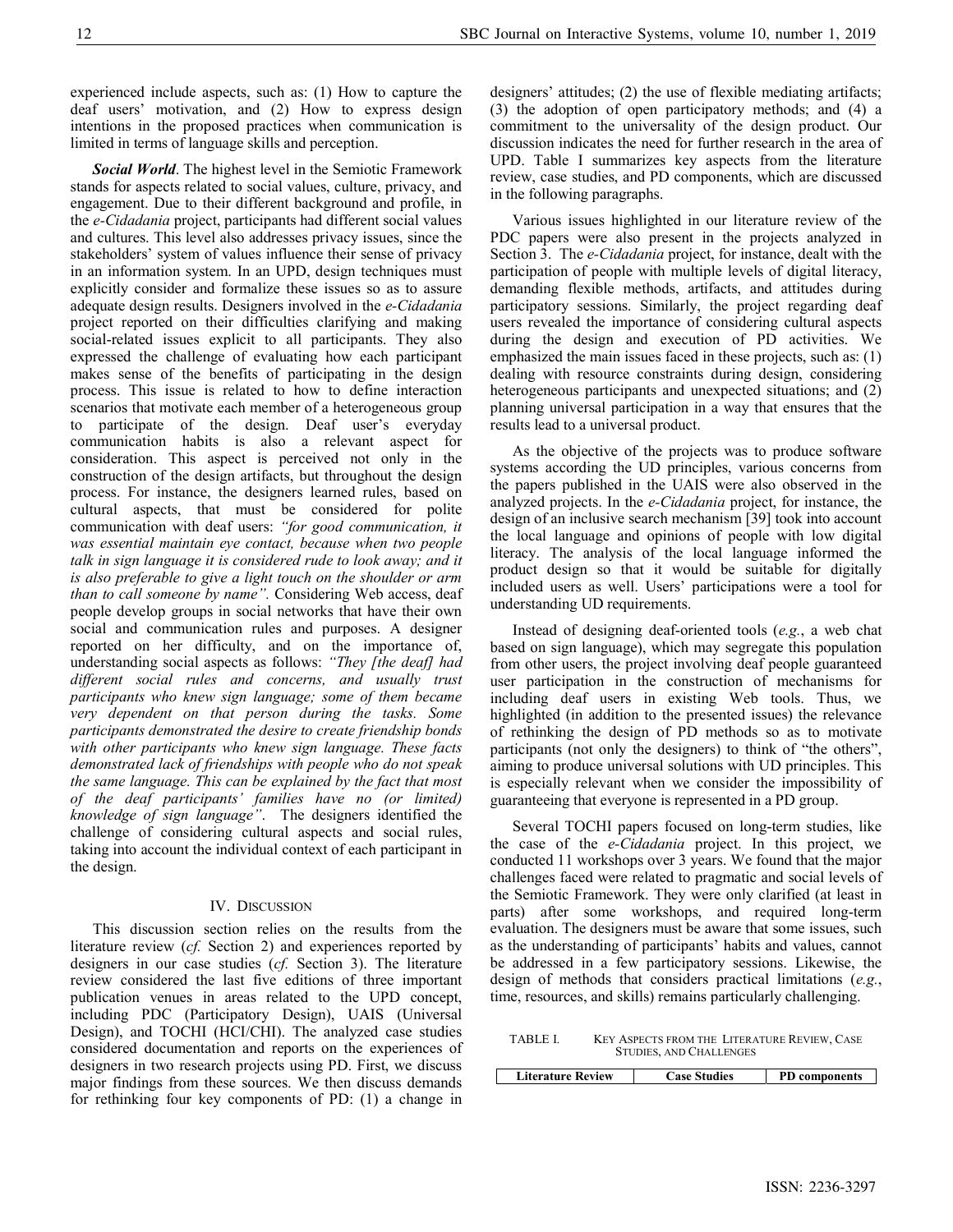experienced include aspects, such as: (1) How to capture the deaf users' motivation, and (2) How to express design intentions in the proposed practices when communication is limited in terms of language skills and perception.

Social World. The highest level in the Semiotic Framework stands for aspects related to social values, culture, privacy, and engagement. Due to their different background and profile, in the e-Cidadania project, participants had different social values and cultures. This level also addresses privacy issues, since the stakeholders' system of values influence their sense of privacy in an information system. In an UPD, design techniques must explicitly consider and formalize these issues so as to assure adequate design results. Designers involved in the e-Cidadania project reported on their difficulties clarifying and making social-related issues explicit to all participants. They also expressed the challenge of evaluating how each participant makes sense of the benefits of participating in the design process. This issue is related to how to define interaction scenarios that motivate each member of a heterogeneous group to participate of the design. Deaf user's everyday communication habits is also a relevant aspect for consideration. This aspect is perceived not only in the construction of the design artifacts, but throughout the design process. For instance, the designers learned rules, based on cultural aspects, that must be considered for polite communication with deaf users: "for good communication, it was essential maintain eye contact, because when two people talk in sign language it is considered rude to look away; and it is also preferable to give a light touch on the shoulder or arm than to call someone by name". Considering Web access, deaf people develop groups in social networks that have their own social and communication rules and purposes. A designer reported on her difficulty, and on the importance of, understanding social aspects as follows: "They [the deaf] had different social rules and concerns, and usually trust participants who knew sign language; some of them became very dependent on that person during the tasks. Some participants demonstrated the desire to create friendship bonds with other participants who knew sign language. These facts demonstrated lack of friendships with people who do not speak the same language. This can be explained by the fact that most of the deaf participants' families have no (or limited) knowledge of sign language". The designers identified the challenge of considering cultural aspects and social rules, taking into account the individual context of each participant in the design.

#### IV. DISCUSSION

This discussion section relies on the results from the literature review (cf. Section 2) and experiences reported by designers in our case studies (cf. Section 3). The literature review considered the last five editions of three important publication venues in areas related to the UPD concept, including PDC (Participatory Design), UAIS (Universal Design), and TOCHI (HCI/CHI). The analyzed case studies considered documentation and reports on the experiences of designers in two research projects using PD. First, we discuss major findings from these sources. We then discuss demands for rethinking four key components of PD: (1) a change in

designers' attitudes; (2) the use of flexible mediating artifacts; (3) the adoption of open participatory methods; and (4) a commitment to the universality of the design product. Our discussion indicates the need for further research in the area of UPD. Table I summarizes key aspects from the literature review, case studies, and PD components, which are discussed in the following paragraphs.

Various issues highlighted in our literature review of the PDC papers were also present in the projects analyzed in Section 3. The e-Cidadania project, for instance, dealt with the participation of people with multiple levels of digital literacy, demanding flexible methods, artifacts, and attitudes during participatory sessions. Similarly, the project regarding deaf users revealed the importance of considering cultural aspects during the design and execution of PD activities. We emphasized the main issues faced in these projects, such as: (1) dealing with resource constraints during design, considering heterogeneous participants and unexpected situations; and  $(2)$ planning universal participation in a way that ensures that the results lead to a universal product.

As the objective of the projects was to produce software systems according the UD principles, various concerns from the papers published in the UAIS were also observed in the analyzed projects. In the e-Cidadania project, for instance, the design of an inclusive search mechanism [39] took into account the local language and opinions of people with low digital literacy. The analysis of the local language informed the product design so that it would be suitable for digitally included users as well. Users' participations were a tool for understanding UD requirements.

Instead of designing deaf-oriented tools (e.g., a web chat based on sign language), which may segregate this population from other users, the project involving deaf people guaranteed user participation in the construction of mechanisms for including deaf users in existing Web tools. Thus, we highlighted (in addition to the presented issues) the relevance of rethinking the design of PD methods so as to motivate participants (not only the designers) to think of "the others", aiming to produce universal solutions with UD principles. This is especially relevant when we consider the impossibility of guaranteeing that everyone is represented in a PD group.

Several TOCHI papers focused on long-term studies, like the case of the e-Cidadania project. In this project, we conducted 11 workshops over 3 years. We found that the major challenges faced were related to pragmatic and social levels of the Semiotic Framework. They were only clarified (at least in parts) after some workshops, and required long-term evaluation. The designers must be aware that some issues, such as the understanding of participants' habits and values, cannot be addressed in a few participatory sessions. Likewise, the design of methods that considers practical limitations (e.g., time, resources, and skills) remains particularly challenging.

TABLE I. KEY ASPECTS FROM THE LITERATURE REVIEW, CASE STUDIES, AND CHALLENGES

| <b>Literature Review</b> | <b>Case Studies</b> | PD components |
|--------------------------|---------------------|---------------|
|                          |                     |               |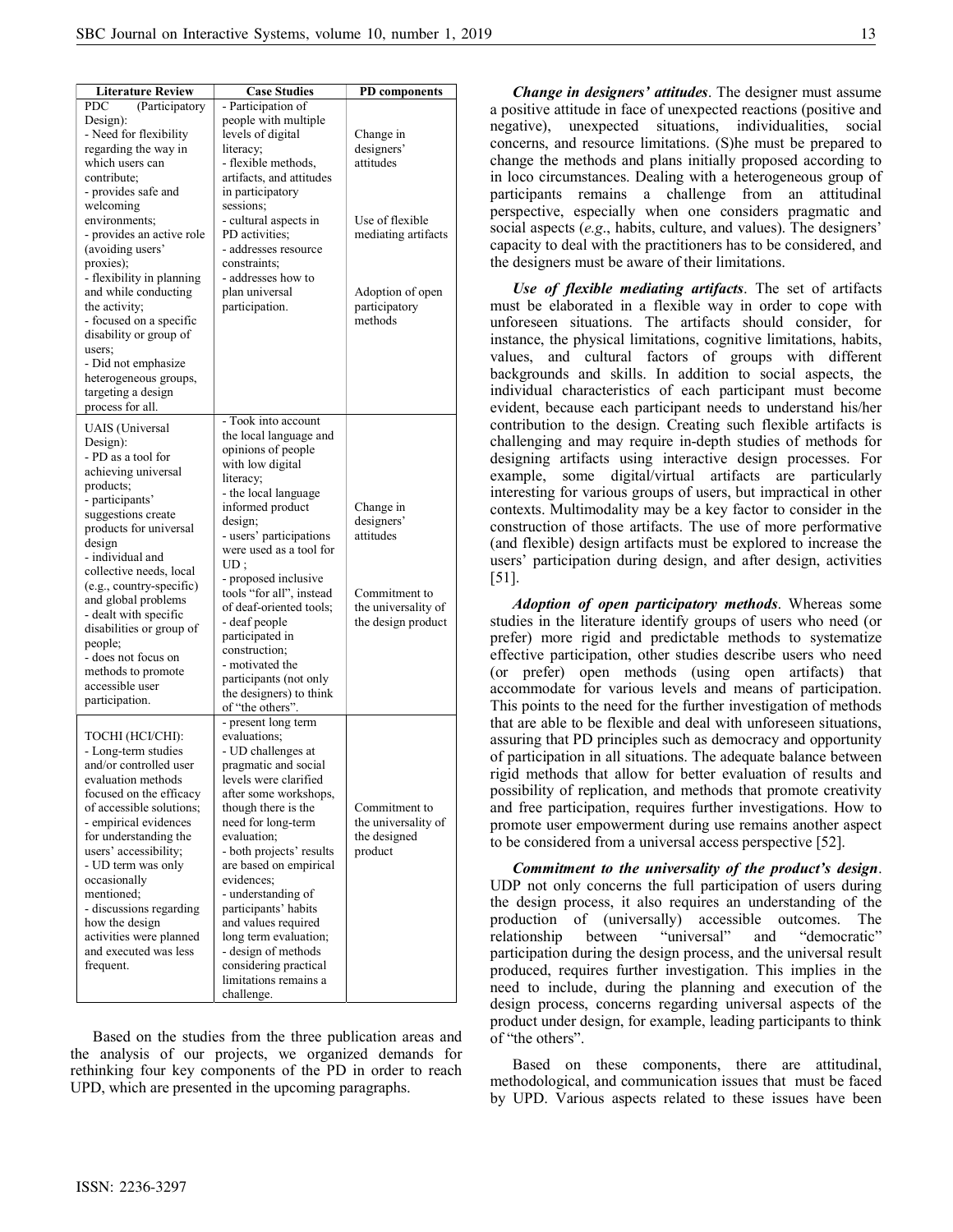| <b>Literature Review</b>                                                                                                                                                                                                                                                                                                                                                                                               | <b>Case Studies</b>                                                                                                                                                                                                                                                                                                                                                                                                                                      | <b>PD</b> components                                                                               |
|------------------------------------------------------------------------------------------------------------------------------------------------------------------------------------------------------------------------------------------------------------------------------------------------------------------------------------------------------------------------------------------------------------------------|----------------------------------------------------------------------------------------------------------------------------------------------------------------------------------------------------------------------------------------------------------------------------------------------------------------------------------------------------------------------------------------------------------------------------------------------------------|----------------------------------------------------------------------------------------------------|
| <b>PDC</b><br>(Participatory<br>Design):<br>- Need for flexibility<br>regarding the way in<br>which users can<br>contribute;<br>- provides safe and<br>welcoming                                                                                                                                                                                                                                                       | - Participation of<br>people with multiple<br>levels of digital<br>literacy;<br>- flexible methods,<br>artifacts, and attitudes<br>in participatory<br>sessions;                                                                                                                                                                                                                                                                                         | Change in<br>designers'<br>attitudes                                                               |
| environments;<br>- provides an active role<br>(avoiding users'<br>proxies);<br>- flexibility in planning<br>and while conducting<br>the activity;<br>- focused on a specific<br>disability or group of<br>users;<br>- Did not emphasize<br>heterogeneous groups,<br>targeting a design<br>process for all.                                                                                                             | - cultural aspects in<br>PD activities:<br>- addresses resource<br>constraints;<br>- addresses how to<br>plan universal<br>participation.<br>- Took into account                                                                                                                                                                                                                                                                                         | Use of flexible<br>mediating artifacts<br>Adoption of open<br>participatory<br>methods             |
| UAIS (Universal<br>Design):<br>- PD as a tool for<br>achieving universal<br>products;<br>- participants'<br>suggestions create<br>products for universal<br>design<br>- individual and<br>collective needs, local<br>(e.g., country-specific)<br>and global problems<br>- dealt with specific<br>disabilities or group of<br>people;<br>- does not focus on<br>methods to promote<br>accessible user<br>participation. | the local language and<br>opinions of people<br>with low digital<br>literacy;<br>- the local language<br>informed product<br>design;<br>- users' participations<br>were used as a tool for<br>UD:<br>- proposed inclusive<br>tools "for all", instead<br>of deaf-oriented tools:<br>- deaf people<br>participated in<br>construction;<br>- motivated the<br>participants (not only<br>the designers) to think<br>of "the others".                        | Change in<br>designers'<br>attitudes<br>Commitment to<br>the universality of<br>the design product |
| TOCHI (HCI/CHI):<br>- Long-term studies<br>and/or controlled user<br>evaluation methods<br>focused on the efficacy<br>of accessible solutions;<br>- empirical evidences<br>for understanding the<br>users' accessibility;<br>- UD term was only<br>occasionally<br>mentioned;<br>- discussions regarding<br>how the design<br>activities were planned<br>and executed was less<br>frequent.                            | - present long term<br>evaluations;<br>- UD challenges at<br>pragmatic and social<br>levels were clarified<br>after some workshops,<br>though there is the<br>need for long-term<br>evaluation;<br>- both projects' results<br>are based on empirical<br>evidences;<br>- understanding of<br>participants' habits<br>and values required<br>long term evaluation;<br>- design of methods<br>considering practical<br>limitations remains a<br>challenge. | Commitment to<br>the universality of<br>the designed<br>product                                    |

Based on the studies from the three publication areas and the analysis of our projects, we organized demands for rethinking four key components of the PD in order to reach UPD, which are presented in the upcoming paragraphs.

Change in designers' attitudes. The designer must assume a positive attitude in face of unexpected reactions (positive and negative), unexpected situations, individualities, social concerns, and resource limitations. (S)he must be prepared to change the methods and plans initially proposed according to in loco circumstances. Dealing with a heterogeneous group of participants remains a challenge from an attitudinal perspective, especially when one considers pragmatic and social aspects (e.g., habits, culture, and values). The designers' capacity to deal with the practitioners has to be considered, and the designers must be aware of their limitations.

Use of flexible mediating artifacts. The set of artifacts must be elaborated in a flexible way in order to cope with unforeseen situations. The artifacts should consider, for instance, the physical limitations, cognitive limitations, habits, values, and cultural factors of groups with different backgrounds and skills. In addition to social aspects, the individual characteristics of each participant must become evident, because each participant needs to understand his/her contribution to the design. Creating such flexible artifacts is challenging and may require in-depth studies of methods for designing artifacts using interactive design processes. For example, some digital/virtual artifacts are particularly interesting for various groups of users, but impractical in other contexts. Multimodality may be a key factor to consider in the construction of those artifacts. The use of more performative (and flexible) design artifacts must be explored to increase the users' participation during design, and after design, activities [51].

Adoption of open participatory methods. Whereas some studies in the literature identify groups of users who need (or prefer) more rigid and predictable methods to systematize effective participation, other studies describe users who need (or prefer) open methods (using open artifacts) that accommodate for various levels and means of participation. This points to the need for the further investigation of methods that are able to be flexible and deal with unforeseen situations, assuring that PD principles such as democracy and opportunity of participation in all situations. The adequate balance between rigid methods that allow for better evaluation of results and possibility of replication, and methods that promote creativity and free participation, requires further investigations. How to promote user empowerment during use remains another aspect to be considered from a universal access perspective [52].

Commitment to the universality of the product's design. UDP not only concerns the full participation of users during the design process, it also requires an understanding of the production of (universally) accessible outcomes. The relationship between "universal" and "democratic" participation during the design process, and the universal result produced, requires further investigation. This implies in the need to include, during the planning and execution of the design process, concerns regarding universal aspects of the product under design, for example, leading participants to think of "the others".

Based on these components, there are attitudinal, methodological, and communication issues that must be faced by UPD. Various aspects related to these issues have been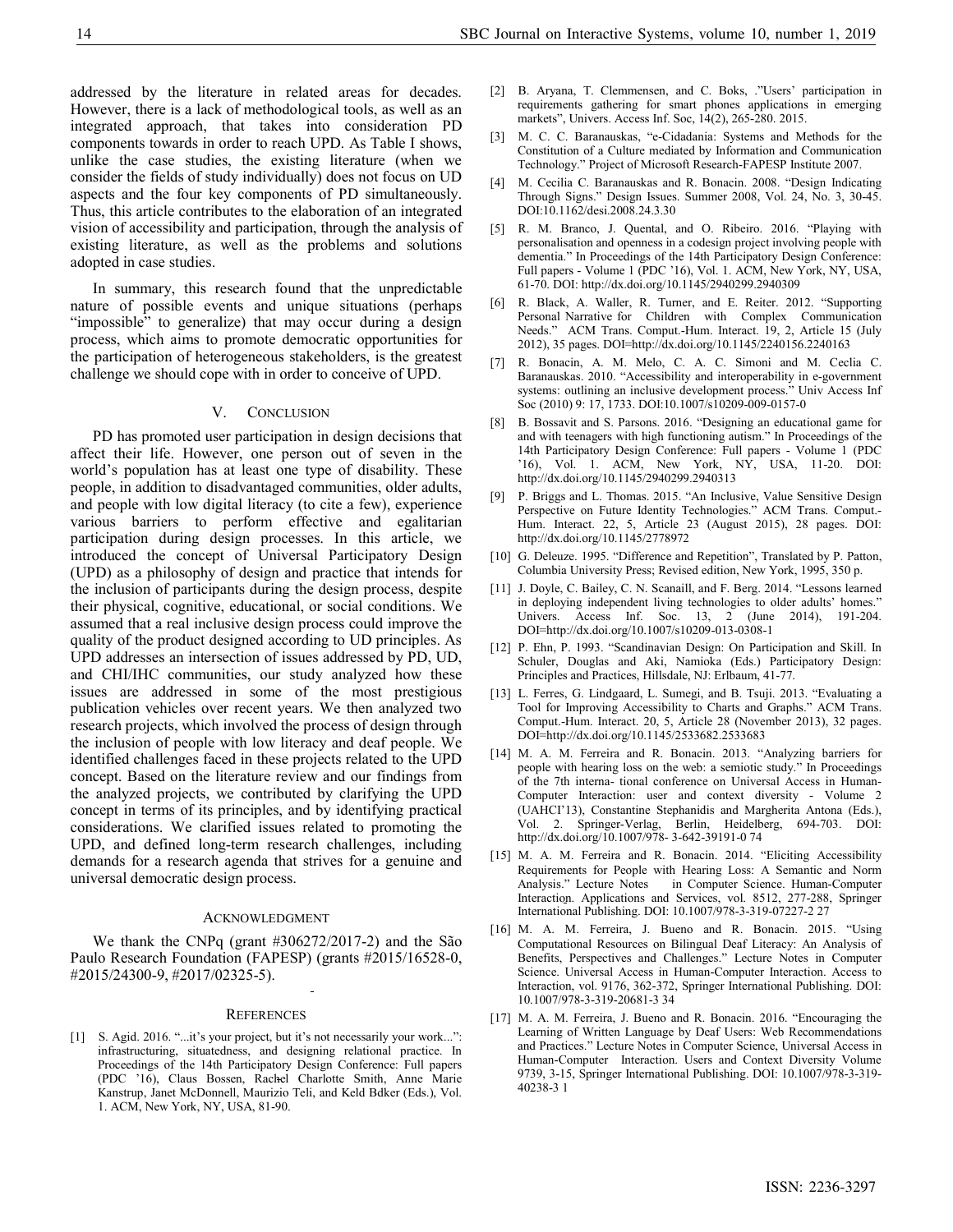addressed by the literature in related areas for decades. However, there is a lack of methodological tools, as well as an integrated approach, that takes into consideration PD components towards in order to reach UPD. As Table I shows, unlike the case studies, the existing literature (when we consider the fields of study individually) does not focus on UD aspects and the four key components of PD simultaneously. Thus, this article contributes to the elaboration of an integrated vision of accessibility and participation, through the analysis of existing literature, as well as the problems and solutions adopted in case studies.

In summary, this research found that the unpredictable nature of possible events and unique situations (perhaps "impossible" to generalize) that may occur during a design process, which aims to promote democratic opportunities for the participation of heterogeneous stakeholders, is the greatest challenge we should cope with in order to conceive of UPD.

## V. CONCLUSION

PD has promoted user participation in design decisions that affect their life. However, one person out of seven in the world's population has at least one type of disability. These people, in addition to disadvantaged communities, older adults, and people with low digital literacy (to cite a few), experience various barriers to perform effective and egalitarian participation during design processes. In this article, we introduced the concept of Universal Participatory Design (UPD) as a philosophy of design and practice that intends for the inclusion of participants during the design process, despite their physical, cognitive, educational, or social conditions. We assumed that a real inclusive design process could improve the quality of the product designed according to UD principles. As UPD addresses an intersection of issues addressed by PD, UD, and CHI/IHC communities, our study analyzed how these issues are addressed in some of the most prestigious publication vehicles over recent years. We then analyzed two research projects, which involved the process of design through the inclusion of people with low literacy and deaf people. We identified challenges faced in these projects related to the UPD concept. Based on the literature review and our findings from the analyzed projects, we contributed by clarifying the UPD concept in terms of its principles, and by identifying practical considerations. We clarified issues related to promoting the UPD, and defined long-term research challenges, including demands for a research agenda that strives for a genuine and universal democratic design process.

#### ACKNOWLEDGMENT

We thank the CNPq (grant #306272/2017-2) and the São Paulo Research Foundation (FAPESP) (grants #2015/16528-0, #2015/24300-9, #2017/02325-5).

#### **REFERENCES**

[1] S. Agid. 2016. "...it's your project, but it's not necessarily your work...": infrastructuring, situatedness, and designing relational practice. In Proceedings of the 14th Participatory Design Conference: Full papers (PDC '16), Claus Bossen, Rachel Charlotte Smith, Anne Marie Kanstrup, Janet McDonnell, Maurizio Teli, and Keld Bdker (Eds.), Vol. 1. ACM, New York, NY, USA, 81-90.

- [2] B. Aryana, T. Clemmensen, and C. Boks, ."Users' participation in requirements gathering for smart phones applications in emerging markets", Univers. Access Inf. Soc, 14(2), 265-280. 2015.
- [3] M. C. C. Baranauskas, "e-Cidadania: Systems and Methods for the Constitution of a Culture mediated by Information and Communication Technology." Project of Microsoft Research-FAPESP Institute 2007.
- [4] M. Cecilia C. Baranauskas and R. Bonacin. 2008. "Design Indicating Through Signs." Design Issues. Summer 2008, Vol. 24, No. 3, 30-45. DOI:10.1162/desi.2008.24.3.30
- [5] R. M. Branco, J. Quental, and O. Ribeiro. 2016. "Playing with personalisation and openness in a codesign project involving people with dementia." In Proceedings of the 14th Participatory Design Conference: Full papers - Volume 1 (PDC '16), Vol. 1. ACM, New York, NY, USA, 61-70. DOI: http://dx.doi.org/10.1145/2940299.2940309
- [6] R. Black, A. Waller, R. Turner, and E. Reiter. 2012. "Supporting Personal Narrative for Children with Complex Communication Needs." ACM Trans. Comput.-Hum. Interact. 19, 2, Article 15 (July 2012), 35 pages. DOI=http://dx.doi.org/10.1145/2240156.2240163
- [7] R. Bonacin, A. M. Melo, C. A. C. Simoni and M. Ceclia C. Baranauskas. 2010. "Accessibility and interoperability in e-government systems: outlining an inclusive development process." Univ Access Inf Soc (2010) 9: 17, 1733. DOI:10.1007/s10209-009-0157-0
- [8] B. Bossavit and S. Parsons. 2016. "Designing an educational game for and with teenagers with high functioning autism." In Proceedings of the 14th Participatory Design Conference: Full papers - Volume 1 (PDC '16), Vol. 1. ACM, New York, NY, USA, 11-20. DOI: http://dx.doi.org/10.1145/2940299.2940313
- [9] P. Briggs and L. Thomas. 2015. "An Inclusive, Value Sensitive Design Perspective on Future Identity Technologies." ACM Trans. Comput.- Hum. Interact. 22, 5, Article 23 (August 2015), 28 pages. DOI: http://dx.doi.org/10.1145/2778972
- [10] G. Deleuze. 1995. "Difference and Repetition", Translated by P. Patton, Columbia University Press; Revised edition, New York, 1995, 350 p.
- [11] J. Doyle, C. Bailey, C. N. Scanaill, and F. Berg. 2014. "Lessons learned in deploying independent living technologies to older adults' homes." Univers. Access Inf. Soc. 13, 2 (June 2014), 191-204. DOI=http://dx.doi.org/10.1007/s10209-013-0308-1
- [12] P. Ehn, P. 1993. "Scandinavian Design: On Participation and Skill. In Schuler, Douglas and Aki, Namioka (Eds.) Participatory Design: Principles and Practices, Hillsdale, NJ: Erlbaum, 41-77.
- [13] L. Ferres, G. Lindgaard, L. Sumegi, and B. Tsuji. 2013. "Evaluating a Tool for Improving Accessibility to Charts and Graphs." ACM Trans. Comput.-Hum. Interact. 20, 5, Article 28 (November 2013), 32 pages. DOI=http://dx.doi.org/10.1145/2533682.2533683
- [14] M. A. M. Ferreira and R. Bonacin. 2013. "Analyzing barriers for people with hearing loss on the web: a semiotic study." In Proceedings of the 7th interna- tional conference on Universal Access in Human-Computer Interaction: user and context diversity - Volume 2 (UAHCI'13), Constantine Stephanidis and Margherita Antona (Eds.), Vol. 2. Springer-Verlag, Berlin, Heidelberg, 694-703. DOI: http://dx.doi.org/10.1007/978- 3-642-39191-0 74
- [15] M. A. M. Ferreira and R. Bonacin. 2014. "Eliciting Accessibility Requirements for People with Hearing Loss: A Semantic and Norm<br>Analysis." Lecture Notes in Computer Science. Human-Computer in Computer Science. Human-Computer Interaction. Applications and Services, vol. 8512, 277-288, Springer International Publishing. DOI: 10.1007/978-3-319-07227-2 27
- [16] M. A. M. Ferreira, J. Bueno and R. Bonacin. 2015. "Using Computational Resources on Bilingual Deaf Literacy: An Analysis of Benefits, Perspectives and Challenges." Lecture Notes in Computer Science. Universal Access in Human-Computer Interaction. Access to Interaction, vol. 9176, 362-372, Springer International Publishing. DOI: 10.1007/978-3-319-20681-3 34
- [17] M. A. M. Ferreira, J. Bueno and R. Bonacin. 2016. "Encouraging the Learning of Written Language by Deaf Users: Web Recommendations and Practices." Lecture Notes in Computer Science, Universal Access in Human-Computer Interaction. Users and Context Diversity Volume 9739, 3-15, Springer International Publishing. DOI: 10.1007/978-3-319- 40238-3 1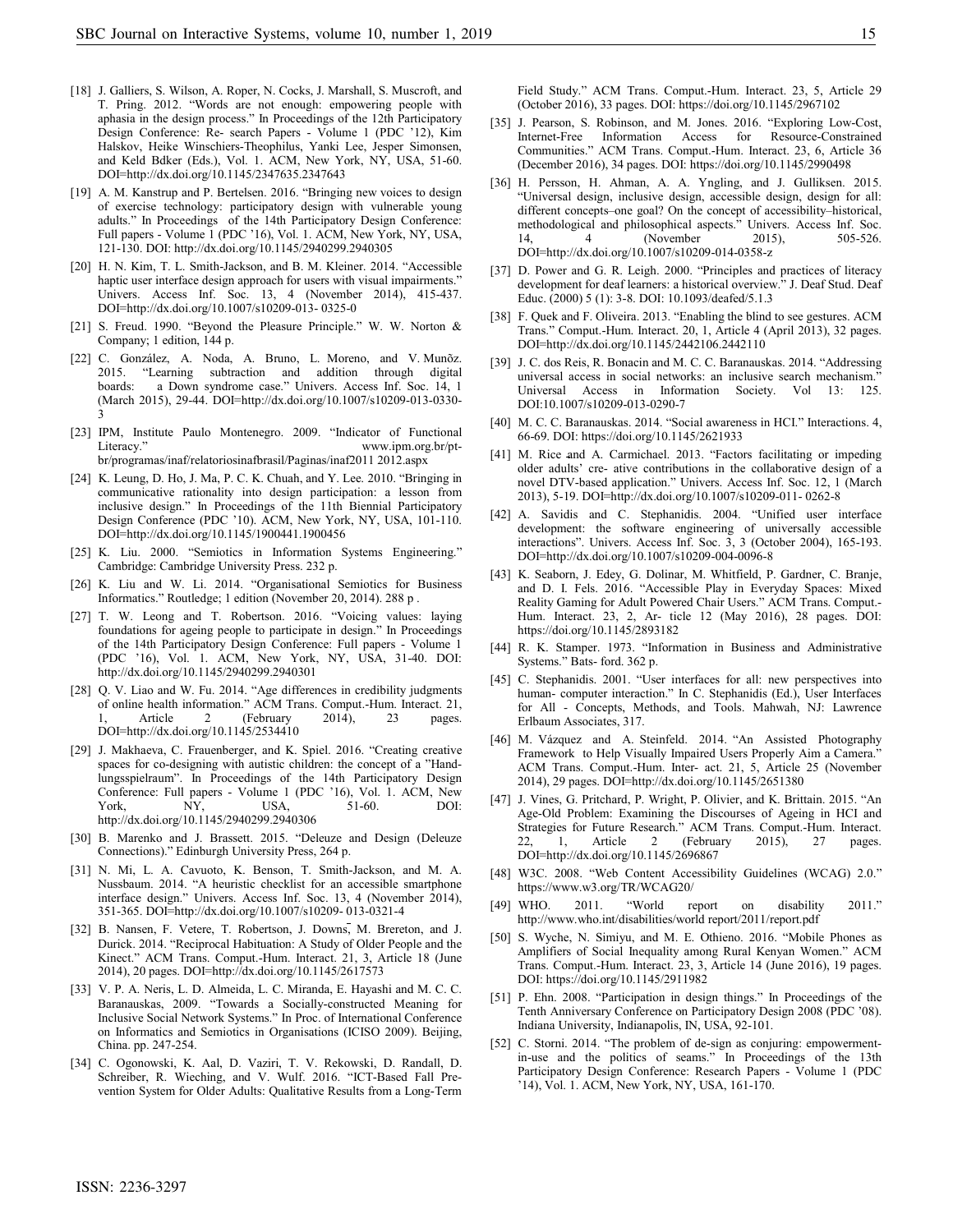- [18] J. Galliers, S. Wilson, A. Roper, N. Cocks, J. Marshall, S. Muscroft, and T. Pring. 2012. "Words are not enough: empowering people with aphasia in the design process." In Proceedings of the 12th Participatory Design Conference: Re- search Papers - Volume 1 (PDC '12), Kim Halskov, Heike Winschiers-Theophilus, Yanki Lee, Jesper Simonsen, and Keld Bdker (Eds.), Vol. 1. ACM, New York, NY, USA, 51-60. DOI=http://dx.doi.org/10.1145/2347635.2347643
- [19] A. M. Kanstrup and P. Bertelsen. 2016. "Bringing new voices to design of exercise technology: participatory design with vulnerable young adults." In Proceedings of the 14th Participatory Design Conference: Full papers - Volume 1 (PDC '16), Vol. 1. ACM, New York, NY, USA, 121-130. DOI: http://dx.doi.org/10.1145/2940299.2940305
- [20] H. N. Kim, T. L. Smith-Jackson, and B. M. Kleiner. 2014. "Accessible haptic user interface design approach for users with visual impairments." Univers. Access Inf. Soc. 13, 4 (November 2014), 415-437. DOI=http://dx.doi.org/10.1007/s10209-013- 0325-0
- [21] S. Freud. 1990. "Beyond the Pleasure Principle." W. W. Norton & Company; 1 edition, 144 p.
- [22] C. González, A. Noda, A. Bruno, L. Moreno, and V. Munõz. 2015. "Learning subtraction and addition through digital boards: a Down syndrome case." Univers. Access Inf. Soc. 14, 1 (March 2015), 29-44. DOI=http://dx.doi.org/10.1007/s10209-013-0330- 3
- [23] IPM, Institute Paulo Montenegro. 2009. "Indicator of Functional Literacy." www.ipm.org.br/ptbr/programas/inaf/relatoriosinafbrasil/Paginas/inaf2011 2012.aspx
- [24] K. Leung, D. Ho, J. Ma, P. C. K. Chuah, and Y. Lee. 2010. "Bringing in communicative rationality into design participation: a lesson from inclusive design." In Proceedings of the 11th Biennial Participatory Design Conference (PDC '10). ACM, New York, NY, USA, 101-110. DOI=http://dx.doi.org/10.1145/1900441.1900456
- [25] K. Liu. 2000. "Semiotics in Information Systems Engineering." Cambridge: Cambridge University Press. 232 p.
- [26] K. Liu and W. Li. 2014. "Organisational Semiotics for Business Informatics." Routledge; 1 edition (November 20, 2014). 288 p .
- [27] T. W. Leong and T. Robertson. 2016. "Voicing values: laying foundations for ageing people to participate in design." In Proceedings of the 14th Participatory Design Conference: Full papers - Volume 1 (PDC '16), Vol. 1. ACM, New York, NY, USA, 31-40. DOI: http://dx.doi.org/10.1145/2940299.2940301
- [28] Q. V. Liao and W. Fu. 2014. "Age differences in credibility judgments of online health information." ACM Trans. Comput.-Hum. Interact. 21,<br>1, Article 2 (February 2014), 23 pages. Article 2 (February 2014), 23 pages. DOI=http://dx.doi.org/10.1145/2534410
- [29] J. Makhaeva, C. Frauenberger, and K. Spiel. 2016. "Creating creative spaces for co-designing with autistic children: the concept of a "Handlungsspielraum". In Proceedings of the 14th Participatory Design Conference: Full papers - Volume 1 (PDC '16), Vol. 1. ACM, New<br>York, MY, USA, 51-60. DOI: York, NY, USA, 51-60. DOI: http://dx.doi.org/10.1145/2940299.2940306
- [30] B. Marenko and J. Brassett. 2015. "Deleuze and Design (Deleuze Connections)." Edinburgh University Press, 264 p.
- [31] N. Mi, L. A. Cavuoto, K. Benson, T. Smith-Jackson, and M. A. Nussbaum. 2014. "A heuristic checklist for an accessible smartphone interface design." Univers. Access Inf. Soc. 13, 4 (November 2014), 351-365. DOI=http://dx.doi.org/10.1007/s10209- 013-0321-4
- [32] B. Nansen, F. Vetere, T. Robertson, J. Downs, M. Brereton, and J. Durick. 2014. "Reciprocal Habituation: A Study of Older People and the Kinect." ACM Trans. Comput.-Hum. Interact. 21, 3, Article 18 (June 2014), 20 pages. DOI=http://dx.doi.org/10.1145/2617573
- [33] V. P. A. Neris, L. D. Almeida, L. C. Miranda, E. Hayashi and M. C. C. Baranauskas, 2009. "Towards a Socially-constructed Meaning for Inclusive Social Network Systems." In Proc. of International Conference on Informatics and Semiotics in Organisations (ICISO 2009). Beijing, China. pp. 247-254.
- [34] C. Ogonowski, K. Aal, D. Vaziri, T. V. Rekowski, D. Randall, D. Schreiber, R. Wieching, and V. Wulf. 2016. "ICT-Based Fall Prevention System for Older Adults: Qualitative Results from a Long-Term

Field Study." ACM Trans. Comput.-Hum. Interact. 23, 5, Article 29 (October 2016), 33 pages. DOI: https://doi.org/10.1145/2967102

- [35] J. Pearson, S. Robinson, and M. Jones. 2016. "Exploring Low-Cost, Internet-Free Information Access for Resource-Constrained Communities." ACM Trans. Comput.-Hum. Interact. 23, 6, Article 36 (December 2016), 34 pages. DOI: https://doi.org/10.1145/2990498
- [36] H. Persson, H. Ahman, A. A. Yngling, and J. Gulliksen. 2015. "Universal design, inclusive design, accessible design, design for all: different concepts–one goal? On the concept of accessibility–historical, methodological and philosophical aspects." Univers. Access Inf. Soc.<br>14, 4 (November 2015), 505-526. 14, 4 (November DOI=http://dx.doi.org/10.1007/s10209-014-0358-z
- [37] D. Power and G. R. Leigh. 2000. "Principles and practices of literacy development for deaf learners: a historical overview." J. Deaf Stud. Deaf Educ. (2000) 5 (1): 3-8. DOI: 10.1093/deafed/5.1.3
- [38] F. Quek and F. Oliveira. 2013. "Enabling the blind to see gestures. ACM Trans." Comput.-Hum. Interact. 20, 1, Article 4 (April 2013), 32 pages. DOI=http://dx.doi.org/10.1145/2442106.2442110
- [39] J. C. dos Reis, R. Bonacin and M. C. C. Baranauskas. 2014. "Addressing universal access in social networks: an inclusive search mechanism. Universal Access in Information Society. Vol 13: 125. DOI:10.1007/s10209-013-0290-7
- [40] M. C. C. Baranauskas. 2014. "Social awareness in HCI." Interactions. 4, 66-69. DOI: https://doi.org/10.1145/2621933
- [41] M. Rice and A. Carmichael. 2013. "Factors facilitating or impeding older adults' cre- ative contributions in the collaborative design of a novel DTV-based application." Univers. Access Inf. Soc. 12, 1 (March 2013), 5-19. DOI=http://dx.doi.org/10.1007/s10209-011- 0262-8
- [42] A. Savidis and C. Stephanidis. 2004. "Unified user interface development: the software engineering of universally accessible interactions". Univers. Access Inf. Soc. 3, 3 (October 2004), 165-193. DOI=http://dx.doi.org/10.1007/s10209-004-0096-8
- [43] K. Seaborn, J. Edey, G. Dolinar, M. Whitfield, P. Gardner, C. Branje, and D. I. Fels. 2016. "Accessible Play in Everyday Spaces: Mixed Reality Gaming for Adult Powered Chair Users." ACM Trans. Comput.- Hum. Interact. 23, 2, Ar- ticle 12 (May 2016), 28 pages. DOI: https://doi.org/10.1145/2893182
- [44] R. K. Stamper. 1973. "Information in Business and Administrative Systems." Bats- ford. 362 p.
- [45] C. Stephanidis. 2001. "User interfaces for all: new perspectives into human- computer interaction." In C. Stephanidis (Ed.), User Interfaces for All - Concepts, Methods, and Tools. Mahwah, NJ: Lawrence Erlbaum Associates, 317.
- [46] M. Vázquez and A. Steinfeld. 2014. "An Assisted Photography Framework to Help Visually Impaired Users Properly Aim a Camera." ACM Trans. Comput.-Hum. Inter- act. 21, 5, Article 25 (November 2014), 29 pages. DOI=http://dx.doi.org/10.1145/2651380
- [47] J. Vines, G. Pritchard, P. Wright, P. Olivier, and K. Brittain. 2015. "An Age-Old Problem: Examining the Discourses of Ageing in HCI and Strategies for Future Research." ACM Trans. Comput.-Hum. Interact. 22, 1, Article 2 (February 2015), 27 pages. DOI=http://dx.doi.org/10.1145/2696867
- [48] W3C. 2008. "Web Content Accessibility Guidelines (WCAG) 2.0." https://www.w3.org/TR/WCAG20/
- [49] WHO. 2011. "World report on disability 2011." http://www.who.int/disabilities/world report/2011/report.pdf
- [50] S. Wyche, N. Simiyu, and M. E. Othieno. 2016. "Mobile Phones as Amplifiers of Social Inequality among Rural Kenyan Women." ACM Trans. Comput.-Hum. Interact. 23, 3, Article 14 (June 2016), 19 pages. DOI: https://doi.org/10.1145/2911982
- [51] P. Ehn. 2008. "Participation in design things." In Proceedings of the Tenth Anniversary Conference on Participatory Design 2008 (PDC '08). Indiana University, Indianapolis, IN, USA, 92-101.
- [52] C. Storni. 2014. "The problem of de-sign as conjuring: empowermentin-use and the politics of seams." In Proceedings of the 13th Participatory Design Conference: Research Papers - Volume 1 (PDC '14), Vol. 1. ACM, New York, NY, USA, 161-170.